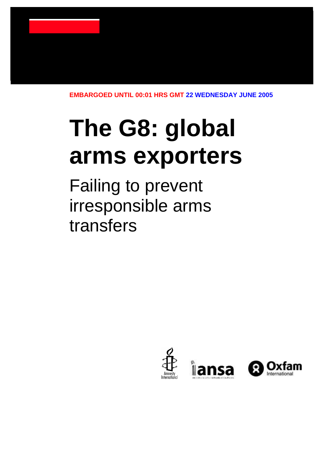**EMBARGOED UNTIL 00:01 HRS GMT 22 WEDNESDAY JUNE 2005**

# **The G8: global arms exporters**

Failing to prevent irresponsible arms transfers

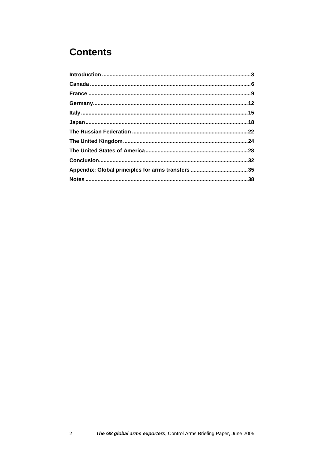### **Contents**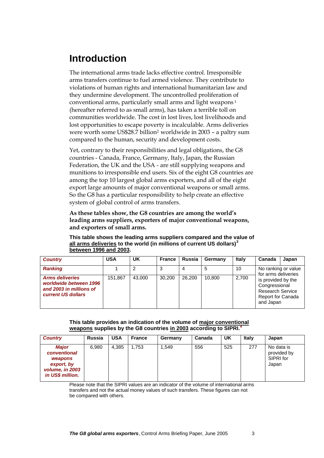### <span id="page-2-0"></span>**Introduction**

The international arms trade lacks effective control. Irresponsible arms transfers continue to fuel armed violence. They contribute to violations of human rights and international humanitarian law and they undermine development. The uncontrolled proliferation of conventional arms, particularly small arms and light weapons <sup>1</sup> (hereafter referred to as small arms), has taken a terrible toll on communities worldwide. The cost in lost lives, lost livelihoods and lost opportunities to escape poverty is incalculable. Arms deliveries were worth some US\$28.7 billion<sup>2</sup> worldwide in 2003 - a paltry sum compared to the human, security and development costs.

Yet, contrary to their responsibilities and legal obligations, the G8 countries - Canada, France, Germany, Italy, Japan, the Russian Federation, the UK and the USA - are still supplying weapons and munitions to irresponsible end users. Six of the eight G8 countries are among the top 10 largest global arms exporters, and all of the eight export large amounts of major conventional weapons or small arms. So the G8 has a particular responsibility to help create an effective system of global control of arms transfers.

**As these tables show, the G8 countries are among the world's leading arms suppliers, exporters of major conventional weapons, and exporters of small arms.** 

| <b>Country</b>                                                                                    | <b>USA</b> | UK     | <b>France</b> | <b>Russia</b> | Germany | Italy | Canada                                                                                                  | Japan |
|---------------------------------------------------------------------------------------------------|------------|--------|---------------|---------------|---------|-------|---------------------------------------------------------------------------------------------------------|-------|
| <b>Ranking</b>                                                                                    |            | 2      | 3             | 4             | 5       | 10    | No ranking or value<br>for arms deliveries                                                              |       |
| <b>Arms deliveries</b><br>worldwide between 1996<br>and 2003 in millions of<br>current US dollars | 151,867    | 43,000 | 30.200        | 26,200        | 10.800  | 2,700 | is provided by the<br>Congressional<br><b>Research Service</b><br><b>Report for Canada</b><br>and Japan |       |

**This table shows the leading arms suppliers compared and the value of all arms deliveries to the world (in millions of current US dollars)<sup>3</sup> between 1996 and 2003.**

#### **This table provides an indication of the volume of major conventional weapons supplies by the G8 countries in 2003 according to SIPRI.***<sup>4</sup>*

| <b>Country</b>                                                                               | Russia | <b>USA</b> | <b>France</b> | Germany | Canada | UK  | Italy | Japan                                           |
|----------------------------------------------------------------------------------------------|--------|------------|---------------|---------|--------|-----|-------|-------------------------------------------------|
| <b>Major</b><br>conventional<br>weapons<br>export, by<br>volume, in 2003<br>in US\$ million. | 6,980  | 4.385      | 1.753         | .549    | 556    | 525 | 277   | No data is<br>provided by<br>SIPRI for<br>Japan |

Please note that the SIPRI values are an indicator of the volume of international arms transfers and not the actual money values of such transfers. These figures can not be compared with others.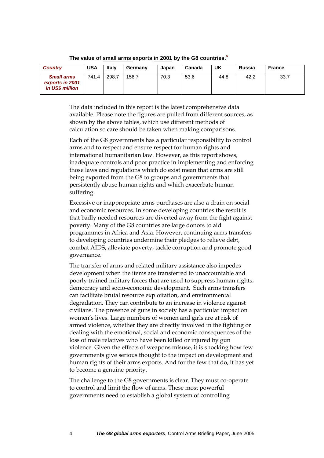| <b>Country</b>                                          | <b>USA</b> | <b>Italy</b> | Germany | Japan | Canada | UK   | Russia | France |
|---------------------------------------------------------|------------|--------------|---------|-------|--------|------|--------|--------|
| <b>Small arms</b><br>exports in 2001<br>in US\$ million | 741.4      | 298.7        | 156.7   | 70.3  | 53.6   | 44.8 | 42.2   | 33.7   |

**The value of small arms exports in 2001 by the G8 countries.** *5*

The data included in this report is the latest comprehensive data available. Please note the figures are pulled from different sources, as shown by the above tables, which use different methods of calculation so care should be taken when making comparisons.

Each of the G8 governments has a particular responsibility to control arms and to respect and ensure respect for human rights and international humanitarian law. However, as this report shows, inadequate controls and poor practice in implementing and enforcing those laws and regulations which do exist mean that arms are still being exported from the G8 to groups and governments that persistently abuse human rights and which exacerbate human suffering.

Excessive or inappropriate arms purchases are also a drain on social and economic resources. In some developing countries the result is that badly needed resources are diverted away from the fight against poverty. Many of the G8 countries are large donors to aid programmes in Africa and Asia. However, continuing arms transfers to developing countries undermine their pledges to relieve debt, combat AIDS, alleviate poverty, tackle corruption and promote good governance.

The transfer of arms and related military assistance also impedes development when the items are transferred to unaccountable and poorly trained military forces that are used to suppress human rights, democracy and socio-economic development. Such arms transfers can facilitate brutal resource exploitation, and environmental degradation. They can contribute to an increase in violence against civilians. The presence of guns in society has a particular impact on women's lives. Large numbers of women and girls are at risk of armed violence, whether they are directly involved in the fighting or dealing with the emotional, social and economic consequences of the loss of male relatives who have been killed or injured by gun violence. Given the effects of weapons misuse, it is shocking how few governments give serious thought to the impact on development and human rights of their arms exports. And for the few that do, it has yet to become a genuine priority.

The challenge to the G8 governments is clear. They must co-operate to control and limit the flow of arms. These most powerful governments need to establish a global system of controlling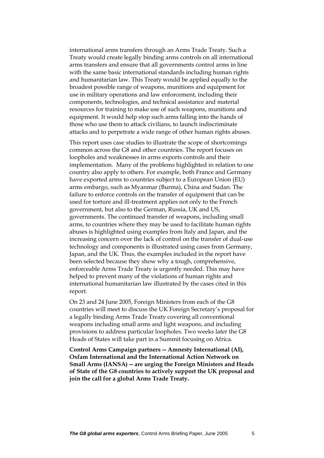international arms transfers through an Arms Trade Treaty. Such a Treaty would create legally binding arms controls on all international arms transfers and ensure that all governments control arms in line with the same basic international standards including human rights and humanitarian law. This Treaty would be applied equally to the broadest possible range of weapons, munitions and equipment for use in military operations and law enforcement, including their components, technologies, and technical assistance and material resources for training to make use of such weapons, munitions and equipment. It would help stop such arms falling into the hands of those who use them to attack civilians, to launch indiscriminate attacks and to perpetrate a wide range of other human rights abuses.

This report uses case studies to illustrate the scope of shortcomings common across the G8 and other countries. The report focuses on loopholes and weaknesses in arms exports controls and their implementation. Many of the problems highlighted in relation to one country also apply to others. For example, both France and Germany have exported arms to countries subject to a European Union (EU) arms embargo, such as Myanmar (Burma), China and Sudan. The failure to enforce controls on the transfer of equipment that can be used for torture and ill-treatment applies not only to the French government, but also to the German, Russia, UK and US, governments. The continued transfer of weapons, including small arms, to countries where they may be used to facilitate human rights abuses is highlighted using examples from Italy and Japan, and the increasing concern over the lack of control on the transfer of dual-use technology and components is illustrated using cases from Germany, Japan, and the UK. Thus, the examples included in the report have been selected because they show why a tough, comprehensive, enforceable Arms Trade Treaty is urgently needed. This may have helped to prevent many of the violations of human rights and international humanitarian law illustrated by the cases cited in this report.

On 23 and 24 June 2005, Foreign Ministers from each of the G8 countries will meet to discuss the UK Foreign Secretary's proposal for a legally binding Arms Trade Treaty covering all conventional weapons including small arms and light weapons, and including provisions to address particular loopholes. Two weeks later the G8 Heads of States will take part in a Summit focusing on Africa.

**Control Arms Campaign partners -- Amnesty International (AI), Oxfam International and the International Action Network on Small Arms (IANSA) -- are urging the Foreign Ministers and Heads of State of the G8 countries to actively support the UK proposal and join the call for a global Arms Trade Treaty.**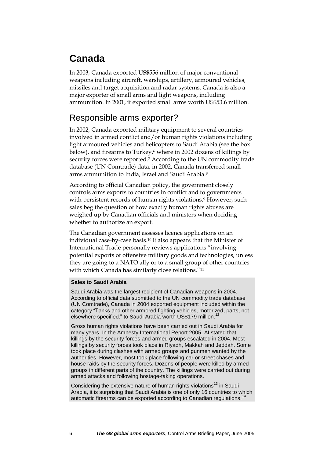### <span id="page-5-0"></span>**Canada**

In 2003, Canada exported US\$556 million of major conventional weapons including aircraft, warships, artillery, armoured vehicles, missiles and target acquisition and radar systems. Canada is also a major exporter of small arms and light weapons, including ammunition. In 2001, it exported small arms worth US\$53.6 million.

### Responsible arms exporter?

In 2002, Canada exported military equipment to several countries involved in armed conflict and/or human rights violations including light armoured vehicles and helicopters to Saudi Arabia (see the box below), and firearms to Turkey,<sup>6</sup> where in 2002 dozens of killings by security forces were reported.<sup>7</sup> According to the UN commodity trade database (UN Comtrade) data, in 2002, Canada transferred small arms ammunition to India, Israel and Saudi Arabia.<sup>8</sup>

According to official Canadian policy, the government closely controls arms exports to countries in conflict and to governments with persistent records of human rights violations.<sup>9</sup> However, such sales beg the question of how exactly human rights abuses are weighed up by Canadian officials and ministers when deciding whether to authorize an export.

The Canadian government assesses licence applications on an individual case-by-case basis.<sup>10</sup> It also appears that the Minister of International Trade personally reviews applications "involving potential exports of offensive military goods and technologies, unless they are going to a NATO ally or to a small group of other countries with which Canada has similarly close relations."<sup>11</sup>

#### **Sales to Saudi Arabia**

Saudi Arabia was the largest recipient of Canadian weapons in 2004. According to official data submitted to the UN commodity trade database (UN Comtrade), Canada in 2004 exported equipment included within the category "Tanks and other armored fighting vehicles, motorized, parts, not elsewhere specified." to Saudi Arabia worth US\$179 million.<sup>12</sup>

Gross human rights violations have been carried out in Saudi Arabia for many years. In the Amnesty International Report 2005, AI stated that killings by the security forces and armed groups escalated in 2004. Most killings by security forces took place in Riyadh, Makkah and Jeddah. Some took place during clashes with armed groups and gunmen wanted by the authorities. However, most took place following car or street chases and house raids by the security forces. Dozens of people were killed by armed groups in different parts of the country. The killings were carried out during armed attacks and following hostage-taking operations.

Considering the extensive nature of human rights violations<sup>13</sup> in Saudi Arabia, it is surprising that Saudi Arabia is one of only 16 countries to which automatic firearms can be exported according to Canadian regulations.<sup>14</sup>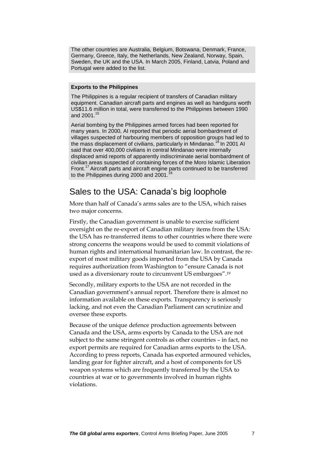The other countries are Australia, Belgium, Botswana, Denmark, France, Germany, Greece, Italy, the Netherlands, New Zealand, Norway, Spain, Sweden, the UK and the USA. In March 2005, Finland, Latvia, Poland and Portugal were added to the list.

#### **Exports to the Philippines**

The Philippines is a regular recipient of transfers of Canadian military equipment. Canadian aircraft parts and engines as well as handguns worth US\$11.6 million in total, were transferred to the Philippines between 1990 and 2001.<sup>15</sup>

Aerial bombing by the Philippines armed forces had been reported for many years. In 2000, AI reported that periodic aerial bombardment of villages suspected of harbouring members of opposition groups had led to the mass displacement of civilians, particularly in Mindanao.<sup>16</sup> In 2001 AI said that over 400,000 civilians in central Mindanao were internally displaced amid reports of apparently indiscriminate aerial bombardment of civilian areas suspected of containing forces of the Moro Islamic Liberation Front.<sup>17</sup> Aircraft parts and aircraft engine parts continued to be transferred to the Philippines during 2000 and 2001.

#### Sales to the USA: Canada's big loophole

More than half of Canada's arms sales are to the USA, which raises two major concerns.

Firstly, the Canadian government is unable to exercise sufficient oversight on the re-export of Canadian military items from the USA: the USA has re-transferred items to other countries where there were strong concerns the weapons would be used to commit violations of human rights and international humanitarian law. In contrast, the reexport of most military goods imported from the USA by Canada requires authorization from Washington to "ensure Canada is not used as a diversionary route to circumvent US embargoes".<sup>19</sup>

Secondly, military exports to the USA are not recorded in the Canadian government's annual report. Therefore there is almost no information available on these exports. Transparency is seriously lacking, and not even the Canadian Parliament can scrutinize and oversee these exports.

Because of the unique defence production agreements between Canada and the USA, arms exports by Canada to the USA are not subject to the same stringent controls as other countries – in fact, no export permits are required for Canadian arms exports to the USA. According to press reports, Canada has exported armoured vehicles, landing gear for fighter aircraft, and a host of components for US weapon systems which are frequently transferred by the USA to countries at war or to governments involved in human rights violations.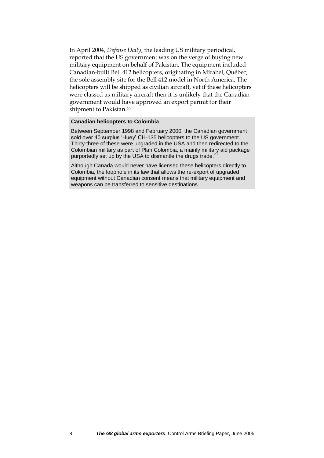In April 2004, *Defense Daily*, the leading US military periodical, reported that the US government was on the verge of buying new military equipment on behalf of Pakistan. The equipment included Canadian-built Bell 412 helicopters, originating in Mirabel, Québec, the sole assembly site for the Bell 412 model in North America. The helicopters will be shipped as civilian aircraft, yet if these helicopters were classed as military aircraft then it is unlikely that the Canadian government would have approved an export permit for their shipment to Pakistan.<sup>20</sup>

#### **Canadian helicopters to Colombia**

Between September 1998 and February 2000, the Canadian government sold over 40 surplus 'Huey' CH-135 helicopters to the US government. Thirty-three of these were upgraded in the USA and then redirected to the Colombian military as part of Plan Colombia, a mainly military aid package purportedly set up by the USA to dismantle the drugs trade.

Although Canada would never have licensed these helicopters directly to Colombia, the loophole in its law that allows the re-export of upgraded equipment without Canadian consent means that military equipment and weapons can be transferred to sensitive destinations.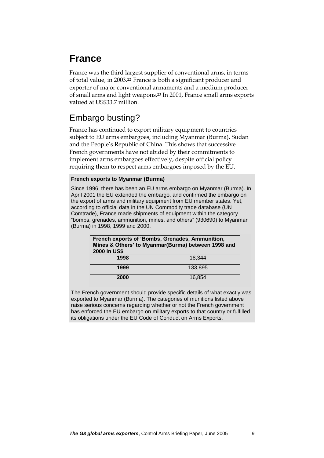### <span id="page-8-0"></span>**France**

France was the third largest supplier of conventional arms, in terms of total value, in 2003.<sup>22</sup> France is both a significant producer and exporter of major conventional armaments and a medium producer of small arms and light weapons.<sup>23</sup> In 2001, France small arms exports valued at US\$33.7 million.

### Embargo busting?

France has continued to export military equipment to countries subject to EU arms embargoes, including Myanmar (Burma), Sudan and the People's Republic of China. This shows that successive French governments have not abided by their commitments to implement arms embargoes effectively, despite official policy requiring them to respect arms embargoes imposed by the EU.

#### **French exports to Myanmar (Burma)**

Since 1996, there has been an EU arms embargo on Myanmar (Burma). In April 2001 the EU extended the embargo, and confirmed the embargo on the export of arms and military equipment from EU member states. Yet, according to official data in the UN Commodity trade database (UN Comtrade), France made shipments of equipment within the category "bombs, grenades, ammunition, mines, and others" (930690) to Myanmar (Burma) in 1998, 1999 and 2000.

| French exports of 'Bombs, Grenades, Ammunition,<br>Mines & Others' to Myanmar(Burma) between 1998 and<br>2000 in US\$ |         |  |  |  |
|-----------------------------------------------------------------------------------------------------------------------|---------|--|--|--|
| 1998                                                                                                                  | 18.344  |  |  |  |
| 1999                                                                                                                  | 133.895 |  |  |  |
| 2000                                                                                                                  | 16.854  |  |  |  |

The French government should provide specific details of what exactly was exported to Myanmar (Burma). The categories of munitions listed above raise serious concerns regarding whether or not the French government has enforced the EU embargo on military exports to that country or fulfilled its obligations under the EU Code of Conduct on Arms Exports.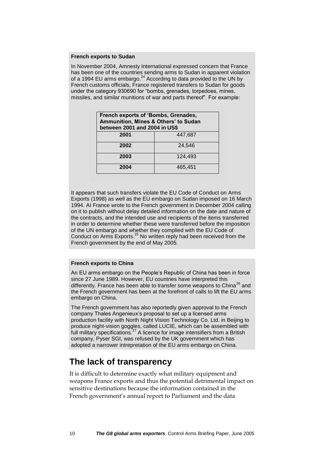#### **French exports to Sudan**

In November 2004, Amnesty International expressed concern that France has been one of the countries sending arms to Sudan in apparent violation of a 1994 EU arms embargo.<sup>24</sup> According to data provided to the UN by French customs officials, France registered transfers to Sudan for goods under the category 930690 for "bombs, grenades, torpedoes, mines, missiles, and similar munitions of war and parts thereof". For example:

| French exports of 'Bombs, Grenades,<br>Ammunition, Mines & Others' to Sudan<br>between 2001 and 2004 in US\$ |         |  |  |  |
|--------------------------------------------------------------------------------------------------------------|---------|--|--|--|
| 2001                                                                                                         | 447.687 |  |  |  |
| 2002                                                                                                         | 24.546  |  |  |  |
| 2003                                                                                                         | 124.493 |  |  |  |
| 2004                                                                                                         | 465.451 |  |  |  |

It appears that such transfers violate the EU Code of Conduct on Arms Exports (1998) as well as the EU embargo on Sudan imposed on 16 March 1994. AI France wrote to the French government in December 2004 calling on it to publish without delay detailed information on the date and nature of the contracts, and the intended use and recipients of the items transferred in order to determine whether these were transferred before the imposition of the UN embargo and whether they complied with the EU Code of Conduct on Arms Exports.<sup>25</sup> No written reply had been received from the French government by the end of May 2005.

#### **French exports to China**

An EU arms embargo on the People's Republic of China has been in force since 27 June 1989. However, EU countries have interpreted this differently. France has been able to transfer some weapons to China<sup>26</sup> and the French government has been at the forefront of calls to lift the EU arms embargo on China.

The French government has also reportedly given approval to the French company Thales Angenieux's proposal to set up a licensed arms production facility with North Night Vision Technology Co. Ltd. in Beijing to produce night-vision goggles, called LUCIE, which can be assembled with full military specifications.<sup>27</sup> A licence for image intensifiers from a British company, Pyser SGI, was refused by the UK government which has adopted a narrower intrepretation of the EU arms embargo on China.

#### **The lack of transparency**

It is difficult to determine exactly what military equipment and weapons France exports and thus the potential detrimental impact on sensitive destinations because the information contained in the French government's annual report to Parliament and the data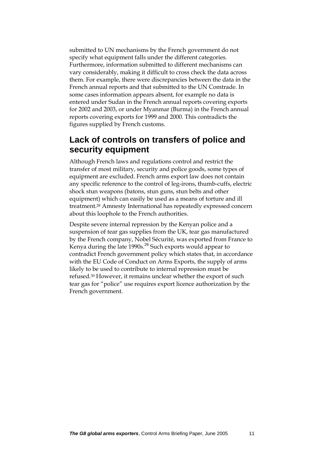submitted to UN mechanisms by the French government do not specify what equipment falls under the different categories. Furthermore, information submitted to different mechanisms can vary considerably, making it difficult to cross check the data across them. For example, there were discrepancies between the data in the French annual reports and that submitted to the UN Comtrade. In some cases information appears absent, for example no data is entered under Sudan in the French annual reports covering exports for 2002 and 2003, or under Myanmar (Burma) in the French annual reports covering exports for 1999 and 2000. This contradicts the figures supplied by French customs.

#### **Lack of controls on transfers of police and security equipment**

Although French laws and regulations control and restrict the transfer of most military, security and police goods, some types of equipment are excluded. French arms export law does not contain any specific reference to the control of leg-irons, thumb-cuffs, electric shock stun weapons (batons, stun guns, stun belts and other equipment) which can easily be used as a means of torture and ill treatment.<sup>28</sup> Amnesty International has repeatedly expressed concern about this loophole to the French authorities.

Despite severe internal repression by the Kenyan police and a suspension of tear gas supplies from the UK, tear gas manufactured by the French company, Nobel Sécurité, was exported from France to Kenya during the late  $1990s<sup>29</sup>$  Such exports would appear to contradict French government policy which states that, in accordance with the EU Code of Conduct on Arms Exports, the supply of arms likely to be used to contribute to internal repression must be refused.<sup>30</sup> However, it remains unclear whether the export of such tear gas for "police" use requires export licence authorization by the French government.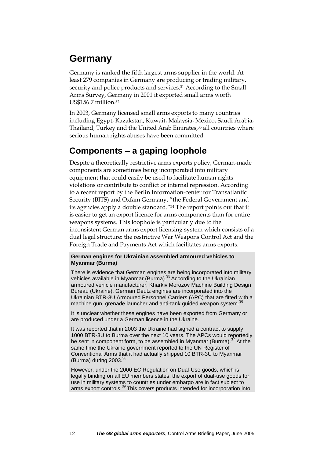### <span id="page-11-0"></span>**Germany**

Germany is ranked the fifth largest arms supplier in the world. At least 279 companies in Germany are producing or trading military, security and police products and services.<sup>31</sup> According to the Small Arms Survey, Germany in 2001 it exported small arms worth US\$156.7 million.<sup>32</sup>

In 2003, Germany licensed small arms exports to many countries including Egypt, Kazakstan, Kuwait, Malaysia, Mexico, Saudi Arabia, Thailand, Turkey and the United Arab Emirates,<sup>33</sup> all countries where serious human rights abuses have been committed.

### **Components – a gaping loophole**

Despite a theoretically restrictive arms exports policy, German-made components are sometimes being incorporated into military equipment that could easily be used to facilitate human rights violations or contribute to conflict or internal repression. According to a recent report by the Berlin Information-center for Transatlantic Security (BITS) and Oxfam Germany, "the Federal Government and its agencies apply a double standard."<sup>34</sup> The report points out that it is easier to get an export licence for arms components than for entire weapons systems. This loophole is particularly due to the inconsistent German arms export licensing system which consists of a dual legal structure: the restrictive War Weapons Control Act and the Foreign Trade and Payments Act which facilitates arms exports.

#### **German engines for Ukrainian assembled armoured vehicles to Myanmar (Burma)**

There is evidence that German engines are being incorporated into military vehicles available in Myanmar (Burma).<sup>35</sup> According to the Ukrainian armoured vehicle manufacturer, Kharkiv Morozov Machine Building Design Bureau (Ukraine), German Deutz engines are incorporated into the Ukrainian BTR-3U Armoured Personnel Carriers (APC) that are fitted with a machine gun, grenade launcher and anti-tank guided weapon system.<sup>36</sup>

It is unclear whether these engines have been exported from Germany or are produced under a German licence in the Ukraine.

It was reported that in 2003 the Ukraine had signed a contract to supply 1000 BTR-3U to Burma over the next 10 years. The APCs would reportedly be sent in component form, to be assembled in Myanmar (Burma). $37$  At the same time the Ukraine government reported to the UN Register of Conventional Arms that it had actually shipped 10 BTR-3U to Myanmar (Burma) during  $2003<sup>3</sup>$ 

However, under the 2000 EC Regulation on Dual-Use goods, which is legally binding on all EU members states, the export of dual-use goods for use in military systems to countries under embargo are in fact subject to arms export controls.<sup>39</sup> This covers products intended for incorporation into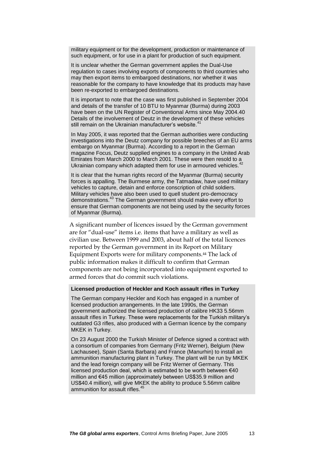military equipment or for the development, production or maintenance of such equipment, or for use in a plant for production of such equipment.

It is unclear whether the German government applies the Dual-Use regulation to cases involving exports of components to third countries who may then export items to embargoed destinations, nor whether it was reasonable for the company to have knowledge that its products may have been re-exported to embargoed destinations.

It is important to note that the case was first published in September 2004 and details of the transfer of 10 BTU to Myanmar (Burma) during 2003 have been on the UN Register of Conventional Arms since May 2004.40 Details of the involvement of Deutz in the development of these vehicles still remain on the Ukrainian manufacturer's website.<sup>41</sup>

In May 2005, it was reported that the German authorities were conducting investigations into the Deutz company for possible breeches of an EU arms embargo on Myanmar (Burma). According to a report in the German magazine Focus, Deutz supplied engines to a company in the United Arab magazine Focus, Deutz supplied drighted to a company.<br>Emirates from March 2000 to March 2001. These were then resold to a Ukrainian company which adapted them for use in armoured vehicles.

It is clear that the human rights record of the Myanmar (Burma) security forces is appalling. The Burmese army, the Tatmadaw, have used military vehicles to capture, detain and enforce conscription of child soldiers. Military vehicles have also been used to quell student pro-democracy demonstrations.<sup>43</sup> The German government should make every effort to ensure that German components are not being used by the security forces of Myanmar (Burma).

A significant number of licences issued by the German government are for "dual-use" items i.e. items that have a military as well as civilian use. Between 1999 and 2003, about half of the total licences reported by the German government in its Report on Military Equipment Exports were for military components.<sup>44</sup> The lack of public information makes it difficult to confirm that German components are not being incorporated into equipment exported to armed forces that do commit such violations.

#### **Licensed production of Heckler and Koch assault rifles in Turkey**

The German company Heckler and Koch has engaged in a number of licensed production arrangements. In the late 1990s, the German government authorized the licensed production of calibre HK33 5.56mm assault rifles in Turkey. These were replacements for the Turkish military's outdated G3 rifles, also produced with a German licence by the company MKEK in Turkey.

On 23 August 2000 the Turkish Minister of Defence signed a contract with a consortium of companies from Germany (Fritz Werner), Belgium (New Lachausee), Spain (Santa Barbara) and France (Manurhin) to install an ammunition manufacturing plant in Turkey. The plant will be run by MKEK and the lead foreign company will be Fritz Werner of Germany. This licensed production deal, which is estimated to be worth between €40 million and €45 million (approximately between US\$35.9 million and US\$40.4 million), will give MKEK the ability to produce 5.56mm calibre ammunition for assault rifles.<sup>45</sup>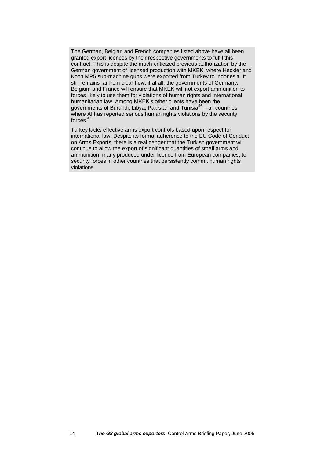The German, Belgian and French companies listed above have all been granted export licences by their respective governments to fulfil this contract. This is despite the much-criticized previous authorization by the German government of licensed production with MKEK, where Heckler and Koch MP5 sub-machine guns were exported from Turkey to Indonesia. It still remains far from clear how, if at all, the governments of Germany, Belgium and France will ensure that MKEK will not export ammunition to forces likely to use them for violations of human rights and international humanitarian law. Among MKEK's other clients have been the governments of Burundi, Libya, Pakistan and Tunisia<sup>46</sup> – all countries where AI has reported serious human rights violations by the security forces. $47$ 

Turkey lacks effective arms export controls based upon respect for international law. Despite its formal adherence to the EU Code of Conduct on Arms Exports, there is a real danger that the Turkish government will continue to allow the export of significant quantities of small arms and ammunition, many produced under licence from European companies, to security forces in other countries that persistently commit human rights violations.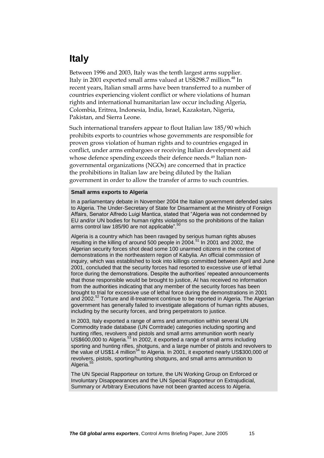### <span id="page-14-0"></span>**Italy**

Between 1996 and 2003, Italy was the tenth largest arms supplier. Italy in 2001 exported small arms valued at US\$298.7 million.<sup>48</sup> In recent years, Italian small arms have been transferred to a number of countries experiencing violent conflict or where violations of human rights and international humanitarian law occur including Algeria, Colombia, Eritrea, Indonesia, India, Israel, Kazakstan, Nigeria, Pakistan, and Sierra Leone.

Such international transfers appear to flout Italian law 185/90 which prohibits exports to countries whose governments are responsible for proven gross violation of human rights and to countries engaged in conflict, under arms embargoes or receiving Italian development aid whose defence spending exceeds their defence needs.<sup>49</sup> Italian nongovernmental organizations (NGOs) are concerned that in practice the prohibitions in Italian law are being diluted by the Italian government in order to allow the transfer of arms to such countries.

#### **Small arms exports to Algeria**

In a parliamentary debate in November 2004 the Italian government defended sales to Algeria. The Under-Secretary of State for Disarmament at the Ministry of Foreign Affairs, Senator Alfredo Luigi Mantica, stated that "Algeria was not condemned by EU and/or UN bodies for human rights violations so the prohibitions of the Italian arms control law 185/90 are not applicable".<sup>50</sup>

Algeria is a country which has been ravaged by serious human rights abuses resulting in the killing of around 500 people in 2004.<sup>51</sup> In 2001 and 2002, the Algerian security forces shot dead some 100 unarmed citizens in the context of demonstrations in the northeastern region of Kabylia. An official commission of inquiry, which was established to look into killings committed between April and June 2001, concluded that the security forces had resorted to excessive use of lethal force during the demonstrations. Despite the authorities' repeated announcements that those responsible would be brought to justice, AI has received no information from the authorities indicating that any member of the security forces has been brought to trial for excessive use of lethal force during the demonstrations in 2001 and 2002.<sup>52</sup> Torture and ill-treatment continue to be reported in Algeria. The Algerian government has generally failed to investigate allegations of human rights abuses, including by the security forces, and bring perpetrators to justice.

In 2003, Italy exported a range of arms and ammunition within several UN Commodity trade database (UN Comtrade) categories including sporting and hunting rifles, revolvers and pistols and small arms ammunition worth nearly US\$600,000 to Algeria.<sup>53</sup> In 2002, it exported a range of small arms including sporting and hunting rifles, shotguns, and a large number of pistols and revolvers to the value of US\$1.4 million<sup>54</sup> to Algeria. In 2001, it exported nearly US\$300,000 of revolvers, pistols, sporting/hunting shotguns, and small arms ammunition to Algeria.<sup>5</sup>

The UN Special Rapporteur on torture, the UN Working Group on Enforced or Involuntary Disappearances and the UN Special Rapporteur on Extrajudicial, Summary or Arbitrary Executions have not been granted access to Algeria.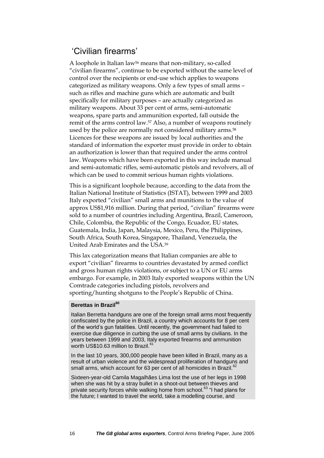#### 'Civilian firearms'

A loophole in Italian law<sup>56</sup> means that non-military, so-called "civilian firearms", continue to be exported without the same level of control over the recipients or end-use which applies to weapons categorized as military weapons. Only a few types of small arms – such as rifles and machine guns which are automatic and built specifically for military purposes – are actually categorized as military weapons. About 33 per cent of arms, semi-automatic weapons, spare parts and ammunition exported, fall outside the remit of the arms control law.<sup>57</sup> Also, a number of weapons routinely used by the police are normally not considered military arms.<sup>58</sup> Licences for these weapons are issued by local authorities and the standard of information the exporter must provide in order to obtain an authorization is lower than that required under the arms control law. Weapons which have been exported in this way include manual and semi-automatic rifles, semi-automatic pistols and revolvers, all of which can be used to commit serious human rights violations.

This is a significant loophole because, according to the data from the Italian National Institute of Statistics (ISTAT), between 1999 and 2003 Italy exported "civilian" small arms and munitions to the value of approx US\$1,916 million. During that period, "civilian" firearms were sold to a number of countries including Argentina, Brazil, Cameroon, Chile, Colombia, the Republic of the Congo, Ecuador, EU states, Guatemala, India, Japan, Malaysia, Mexico, Peru, the Philippines, South Africa, South Korea, Singapore, Thailand, Venezuela, the United Arab Emirates and the USA.<sup>59</sup>

This lax categorization means that Italian companies are able to export "civilian" firearms to countries devastated by armed conflict and gross human rights violations, or subject to a UN or EU arms embargo. For example, in 2003 Italy exported weapons within the UN Comtrade categories including pistols, revolvers and sporting/hunting shotguns to the People's Republic of China.

#### **Berettas in Brazil<sup>60</sup>**

Italian Berretta handguns are one of the foreign small arms most frequently confiscated by the police in Brazil, a country which accounts for 8 per cent of the world's gun fatalities. Until recently, the government had failed to exercise due diligence in curbing the use of small arms by civilians. In the years between 1999 and 2003, Italy exported firearms and ammunition worth US\$10.63 million to Brazil.<sup>61</sup>

In the last 10 years, 300,000 people have been killed in Brazil, many as a result of urban violence and the widespread proliferation of handguns and small arms, which account for 63 per cent of all homicides in Brazil.<sup>62</sup>

Sixteen-year-old Camila Magalhães Lima lost the use of her legs in 1998 when she was hit by a stray bullet in a shoot-out between thieves and private security forces while walking home from school.<sup>63</sup> "I had plans for the future; I wanted to travel the world, take a modelling course, and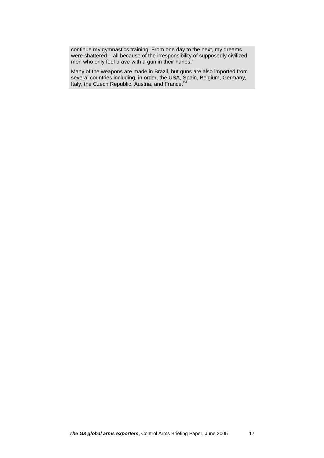continue my gymnastics training. From one day to the next, my dreams were shattered – all because of the irresponsibility of supposedly civilized men who only feel brave with a gun in their hands."

Many of the weapons are made in Brazil, but guns are also imported from several countries including, in order, the USA, Spain, Belgium, Germany, Italy, the Czech Republic, Austria, and France.<sup>64</sup>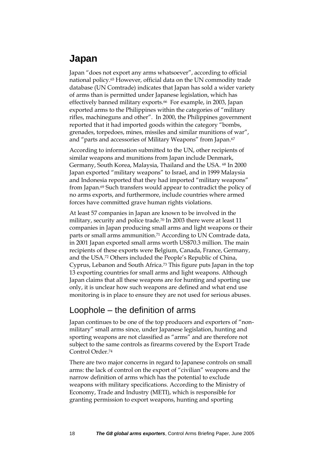### <span id="page-17-0"></span>**Japan**

Japan "does not export any arms whatsoever", according to official national policy.<sup>65</sup> However, official data on the UN commodity trade database (UN Comtrade) indicates that Japan has sold a wider variety of arms than is permitted under Japanese legislation, which has effectively banned military exports.<sup>66</sup> For example, in 2003, Japan exported arms to the Philippines within the categories of "military rifles, machineguns and other". In 2000, the Philippines government reported that it had imported goods within the category "bombs, grenades, torpedoes, mines, missiles and similar munitions of war", and "parts and accessories of Military Weapons" from Japan.<sup>67</sup>

According to information submitted to the UN, other recipients of similar weapons and munitions from Japan include Denmark, Germany, South Korea, Malaysia, Thailand and the USA. <sup>68</sup> In 2000 Japan exported "military weapons" to Israel, and in 1999 Malaysia and Indonesia reported that they had imported "military weapons" from Japan.<sup>69</sup> Such transfers would appear to contradict the policy of no arms exports, and furthermore, include countries where armed forces have committed grave human rights violations.

At least 57 companies in Japan are known to be involved in the military, security and police trade.<sup>70</sup> In 2003 there were at least 11 companies in Japan producing small arms and light weapons or their parts or small arms ammunition.<sup>71</sup> According to UN Comtrade data, in 2001 Japan exported small arms worth US\$70.3 million. The main recipients of these exports were Belgium, Canada, France, Germany, and the USA.<sup>72</sup> Others included the People's Republic of China, Cyprus, Lebanon and South Africa.<sup>73</sup> This figure puts Japan in the top 13 exporting countries for small arms and light weapons. Although Japan claims that all these weapons are for hunting and sporting use only, it is unclear how such weapons are defined and what end use monitoring is in place to ensure they are not used for serious abuses.

#### Loophole – the definition of arms

Japan continues to be one of the top producers and exporters of "nonmilitary" small arms since, under Japanese legislation, hunting and sporting weapons are not classified as "arms" and are therefore not subject to the same controls as firearms covered by the Export Trade Control Order.<sup>74</sup>

There are two major concerns in regard to Japanese controls on small arms: the lack of control on the export of "civilian" weapons and the narrow definition of arms which has the potential to exclude weapons with military specifications. According to the Ministry of Economy, Trade and Industry (METI), which is responsible for granting permission to export weapons, hunting and sporting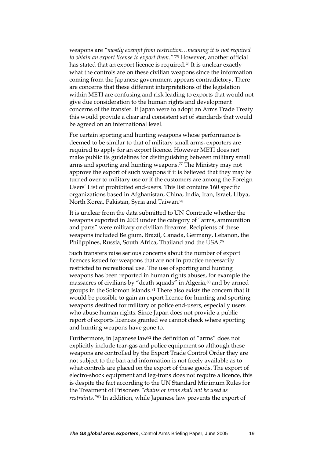weapons are *"mostly exempt from restriction…meaning it is not required to obtain an export license to export them."'*<sup>75</sup> However, another official has stated that an export licence is required.<sup>76</sup> It is unclear exactly what the controls are on these civilian weapons since the information coming from the Japanese government appears contradictory. There are concerns that these different interpretations of the legislation within METI are confusing and risk leading to exports that would not give due consideration to the human rights and development concerns of the transfer. If Japan were to adopt an Arms Trade Treaty this would provide a clear and consistent set of standards that would be agreed on an international level.

For certain sporting and hunting weapons whose performance is deemed to be similar to that of military small arms, exporters are required to apply for an export licence. However METI does not make public its guidelines for distinguishing between military small arms and sporting and hunting weapons. <sup>77</sup> The Ministry may not approve the export of such weapons if it is believed that they may be turned over to military use or if the customers are among the Foreign Users' List of prohibited end-users. This list contains 160 specific organizations based in Afghanistan, China, India, Iran, Israel, Libya, North Korea, Pakistan, Syria and Taiwan. 78

It is unclear from the data submitted to UN Comtrade whether the weapons exported in 2003 under the category of "arms, ammunition and parts" were military or civilian firearms. Recipients of these weapons included Belgium, Brazil, Canada, Germany, Lebanon, the Philippines, Russia, South Africa, Thailand and the USA. 79

Such transfers raise serious concerns about the number of export licences issued for weapons that are not in practice necessarily restricted to recreational use. The use of sporting and hunting weapons has been reported in human rights abuses, for example the massacres of civilians by "death squads" in Algeria,<sup>80</sup> and by armed groups in the Solomon Islands.<sup>81</sup> There also exists the concern that it would be possible to gain an export licence for hunting and sporting weapons destined for military or police end-users, especially users who abuse human rights. Since Japan does not provide a public report of exports licences granted we cannot check where sporting and hunting weapons have gone to.

Furthermore, in Japanese law<sup>82</sup> the definition of "arms" does not explicitly include tear-gas and police equipment so although these weapons are controlled by the Export Trade Control Order they are not subject to the ban and information is not freely available as to what controls are placed on the export of these goods. The export of electro-shock equipment and leg-irons does not require a licence, this is despite the fact according to the UN Standard Minimum Rules for the Treatment of Prisoners *"chains or irons shall not be used as restraints."*<sup>83</sup> In addition, while Japanese law prevents the export of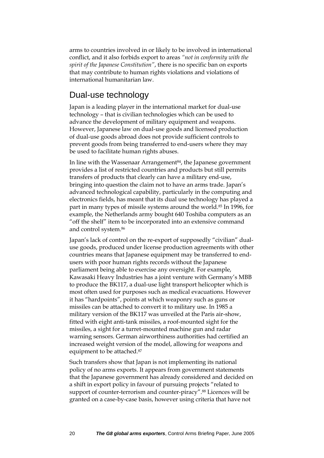arms to countries involved in or likely to be involved in international conflict, and it also forbids export to areas *"not in conformity with the spirit of the Japanese Constitution"*, there is no specific ban on exports that may contribute to human rights violations and violations of international humanitarian law.

#### Dual-use technology

Japan is a leading player in the international market for dual-use technology – that is civilian technologies which can be used to advance the development of military equipment and weapons. However, Japanese law on dual-use goods and licensed production of dual-use goods abroad does not provide sufficient controls to prevent goods from being transferred to end-users where they may be used to facilitate human rights abuses.

In line with the Wassenaar Arrangement<sup>84</sup>, the Japanese government provides a list of restricted countries and products but still permits transfers of products that clearly can have a military end-use, bringing into question the claim not to have an arms trade. Japan's advanced technological capability, particularly in the computing and electronics fields, has meant that its dual use technology has played a part in many types of missile systems around the world.<sup>85</sup> In 1996, for example, the Netherlands army bought 640 Toshiba computers as an "off the shelf" item to be incorporated into an extensive command and control system.<sup>86</sup>

Japan's lack of control on the re-export of supposedly "civilian" dualuse goods, produced under license production agreements with other countries means that Japanese equipment may be transferred to endusers with poor human rights records without the Japanese parliament being able to exercise any oversight. For example, Kawasaki Heavy Industries has a joint venture with Germany's MBB to produce the BK117, a dual-use light transport helicopter which is most often used for purposes such as medical evacuations. However it has "hardpoints", points at which weaponry such as guns or missiles can be attached to convert it to military use. In 1985 a military version of the BK117 was unveiled at the Paris air-show, fitted with eight anti-tank missiles, a roof-mounted sight for the missiles, a sight for a turret-mounted machine gun and radar warning sensors. German airworthiness authorities had certified an increased weight version of the model, allowing for weapons and equipment to be attached.<sup>87</sup>

Such transfers show that Japan is not implementing its national policy of no arms exports. It appears from government statements that the Japanese government has already considered and decided on a shift in export policy in favour of pursuing projects "related to support of counter-terrorism and counter-piracy". <sup>88</sup> Licences will be granted on a case-by-case basis, however using criteria that have not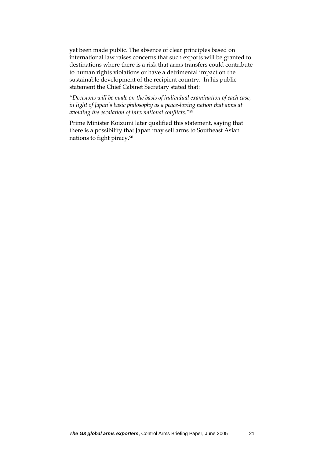yet been made public. The absence of clear principles based on international law raises concerns that such exports will be granted to destinations where there is a risk that arms transfers could contribute to human rights violations or have a detrimental impact on the sustainable development of the recipient country. In his public statement the Chief Cabinet Secretary stated that:

*"Decisions will be made on the basis of individual examination of each case, in light of Japan's basic philosophy as a peace-loving nation that aims at avoiding the escalation of international conflicts."*<sup>89</sup>

Prime Minister Koizumi later qualified this statement, saying that there is a possibility that Japan may sell arms to Southeast Asian nations to fight piracy.90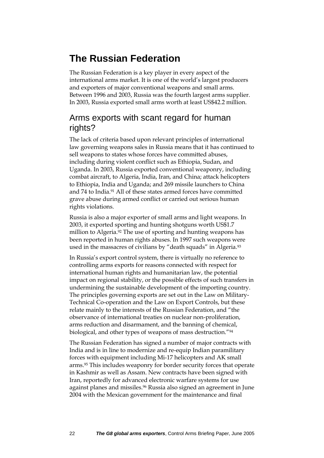### <span id="page-21-0"></span>**The Russian Federation**

The Russian Federation is a key player in every aspect of the international arms market. It is one of the world's largest producers and exporters of major conventional weapons and small arms. Between 1996 and 2003, Russia was the fourth largest arms supplier. In 2003, Russia exported small arms worth at least US\$42.2 million.

#### Arms exports with scant regard for human rights?

The lack of criteria based upon relevant principles of international law governing weapons sales in Russia means that it has continued to sell weapons to states whose forces have committed abuses, including during violent conflict such as Ethiopia, Sudan, and Uganda. In 2003, Russia exported conventional weaponry, including combat aircraft, to Algeria, India, Iran, and China; attack helicopters to Ethiopia, India and Uganda; and 269 missile launchers to China and 74 to India.<sup>91</sup> All of these states armed forces have committed grave abuse during armed conflict or carried out serious human rights violations.

Russia is also a major exporter of small arms and light weapons. In 2003, it exported sporting and hunting shotguns worth US\$1.7 million to Algeria.<sup>92</sup> The use of sporting and hunting weapons has been reported in human rights abuses. In 1997 such weapons were used in the massacres of civilians by "death squads" in Algeria.<sup>93</sup>

In Russia's export control system, there is virtually no reference to controlling arms exports for reasons connected with respect for international human rights and humanitarian law, the potential impact on regional stability, or the possible effects of such transfers in undermining the sustainable development of the importing country. The principles governing exports are set out in the Law on Military-Technical Co-operation and the Law on Export Controls, but these relate mainly to the interests of the Russian Federation, and "the observance of international treaties on nuclear non-proliferation, arms reduction and disarmament, and the banning of chemical, biological, and other types of weapons of mass destruction."<sup>94</sup>

The Russian Federation has signed a number of major contracts with India and is in line to modernize and re-equip Indian paramilitary forces with equipment including Mi-17 helicopters and AK small arms.<sup>95</sup> This includes weaponry for border security forces that operate in Kashmir as well as Assam. New contracts have been signed with Iran, reportedly for advanced electronic warfare systems for use against planes and missiles.<sup>96</sup> Russia also signed an agreement in June 2004 with the Mexican government for the maintenance and final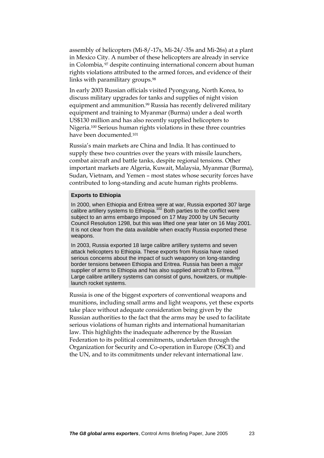assembly of helicopters (Mi-8/-17s, Mi-24/-35s and Mi-26s) at a plant in Mexico City. A number of these helicopters are already in service in Colombia, <sup>97</sup> despite continuing international concern about human rights violations attributed to the armed forces, and evidence of their links with paramilitary groups.<sup>98</sup>

In early 2003 Russian officials visited Pyongyang, North Korea, to discuss military upgrades for tanks and supplies of night vision equipment and ammunition.<sup>99</sup> Russia has recently delivered military equipment and training to Myanmar (Burma) under a deal worth US\$130 million and has also recently supplied helicopters to Nigeria.<sup>100</sup> Serious human rights violations in these three countries have been documented. 101

Russia's main markets are China and India. It has continued to supply these two countries over the years with missile launchers, combat aircraft and battle tanks, despite regional tensions. Other important markets are Algeria, Kuwait, Malaysia, Myanmar (Burma), Sudan, Vietnam, and Yemen – most states whose security forces have contributed to long-standing and acute human rights problems.

#### **Exports to Ethiopia**

In 2000, when Ethiopia and Eritrea were at war, Russia exported 307 large calibre artillery systems to Ethiopia.<sup>102</sup> Both parties to the conflict were subject to an arms embargo imposed on 17 May 2000 by UN Security Council Resolution 1298, but this was lifted one year later on 16 May 2001. It is not clear from the data available when exactly Russia exported these weapons.

In 2003, Russia exported 18 large calibre artillery systems and seven attack helicopters to Ethiopia. These exports from Russia have raised serious concerns about the impact of such weaponry on long-standing border tensions between Ethiopia and Eritrea. Russia has been a major supplier of arms to Ethiopia and has also supplied aircraft to Eritrea.<sup>1</sup> Large calibre artillery systems can consist of guns, howitzers, or multiplelaunch rocket systems.

Russia is one of the biggest exporters of conventional weapons and munitions, including small arms and light weapons, yet these exports take place without adequate consideration being given by the Russian authorities to the fact that the arms may be used to facilitate serious violations of human rights and international humanitarian law. This highlights the inadequate adherence by the Russian Federation to its political commitments, undertaken through the Organization for Security and Co-operation in Europe (OSCE) and the UN, and to its commitments under relevant international law.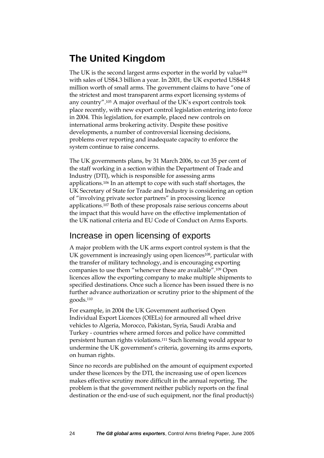### <span id="page-23-0"></span>**The United Kingdom**

The UK is the second largest arms exporter in the world by value<sup>104</sup> with sales of US\$4.3 billion a year. In 2001, the UK exported US\$44.8 million worth of small arms. The government claims to have "one of the strictest and most transparent arms export licensing systems of any country".<sup>105</sup> A major overhaul of the UK's export controls took place recently, with new export control legislation entering into force in 2004. This legislation, for example, placed new controls on international arms brokering activity. Despite these positive developments, a number of controversial licensing decisions, problems over reporting and inadequate capacity to enforce the system continue to raise concerns.

The UK governments plans, by 31 March 2006, to cut 35 per cent of the staff working in a section within the Department of Trade and Industry (DTI), which is responsible for assessing arms applications.<sup>106</sup> In an attempt to cope with such staff shortages, the UK Secretary of State for Trade and Industry is considering an option of "involving private sector partners" in processing licence applications.<sup>107</sup> Both of these proposals raise serious concerns about the impact that this would have on the effective implementation of the UK national criteria and EU Code of Conduct on Arms Exports.

### Increase in open licensing of exports

A major problem with the UK arms export control system is that the UK government is increasingly using open licences<sup>108</sup>, particular with the transfer of military technology, and is encouraging exporting companies to use them "whenever these are available".<sup>109</sup> Open licences allow the exporting company to make multiple shipments to specified destinations. Once such a licence has been issued there is no further advance authorization or scrutiny prior to the shipment of the goods.<sup>110</sup>

For example, in 2004 the UK Government authorised Open Individual Export Licences (OIELs) for armoured all wheel drive vehicles to Algeria, Morocco, Pakistan, Syria, Saudi Arabia and Turkey - countries where armed forces and police have committed persistent human rights violations.<sup>111</sup> Such licensing would appear to undermine the UK government's criteria, governing its arms exports, on human rights.

Since no records are published on the amount of equipment exported under these licences by the DTI, the increasing use of open licences makes effective scrutiny more difficult in the annual reporting. The problem is that the government neither publicly reports on the final destination or the end-use of such equipment, nor the final product(s)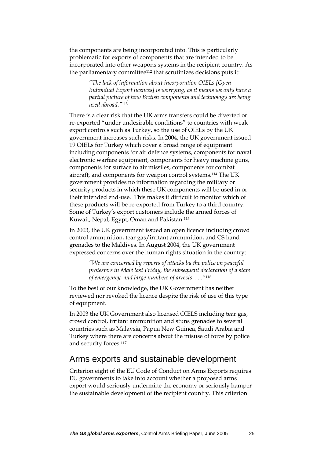the components are being incorporated into. This is particularly problematic for exports of components that are intended to be incorporated into other weapons systems in the recipient country. As the parliamentary committee<sup>112</sup> that scrutinizes decisions puts it:

> *"The lack of information about incorporation OIELs [Open Individual Export licences] is worrying, as it means we only have a partial picture of how British components and technology are being used abroad."*<sup>113</sup>

There is a clear risk that the UK arms transfers could be diverted or re-exported "under undesirable conditions" to countries with weak export controls such as Turkey, so the use of OIELs by the UK government increases such risks. In 2004, the UK government issued 19 OIELs for Turkey which cover a broad range of equipment including components for air defence systems, components for naval electronic warfare equipment, components for heavy machine guns, components for surface to air missiles, components for combat aircraft, and components for weapon control systems.<sup>114</sup> The UK government provides no information regarding the military or security products in which these UK components will be used in or their intended end-use. This makes it difficult to monitor which of these products will be re-exported from Turkey to a third country. Some of Turkey's export customers include the armed forces of Kuwait, Nepal, Egypt, Oman and Pakistan.<sup>115</sup>

In 2003, the UK government issued an open licence including crowd control ammunition, tear gas/irritant ammunition, and CS hand grenades to the Maldives. In August 2004, the UK government expressed concerns over the human rights situation in the country:

> *"We are concerned by reports of attacks by the police on peaceful protesters in Malé last Friday, the subsequent declaration of a state of emergency, and large numbers of arrests…..."*<sup>116</sup>

To the best of our knowledge, the UK Government has neither reviewed nor revoked the licence despite the risk of use of this type of equipment.

In 2003 the UK Government also licensed OIELS including tear gas, crowd control, irritant ammunition and stuns grenades to several countries such as Malaysia, Papua New Guinea, Saudi Arabia and Turkey where there are concerns about the misuse of force by police and security forces.<sup>117</sup>

#### Arms exports and sustainable development

Criterion eight of the EU Code of Conduct on Arms Exports requires EU governments to take into account whether a proposed arms export would seriously undermine the economy or seriously hamper the sustainable development of the recipient country. This criterion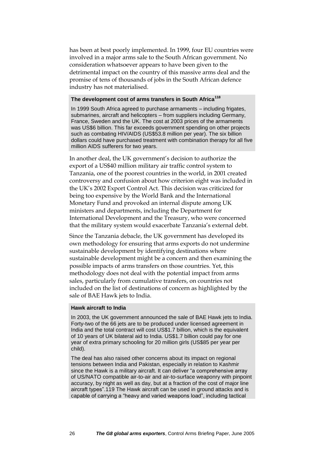has been at best poorly implemented. In 1999, four EU countries were involved in a major arms sale to the South African government. No consideration whatsoever appears to have been given to the detrimental impact on the country of this massive arms deal and the promise of tens of thousands of jobs in the South African defence industry has not materialised.

#### **The development cost of arms transfers in South Africa<sup>118</sup>**

In 1999 South Africa agreed to purchase armaments – including frigates, submarines, aircraft and helicopters – from suppliers including Germany, France, Sweden and the UK. The cost at 2003 prices of the armaments was US\$6 billion. This far exceeds government spending on other projects such as combating HIV/AIDS (US\$53.8 million per year). The six billion dollars could have purchased treatment with combination therapy for all five million AIDS sufferers for two years.

In another deal, the UK government's decision to authorize the export of a US\$40 million military air traffic control system to Tanzania, one of the poorest countries in the world, in 2001 created controversy and confusion about how criterion eight was included in the UK's 2002 Export Control Act. This decision was criticized for being too expensive by the World Bank and the International Monetary Fund and provoked an internal dispute among UK ministers and departments, including the Department for International Development and the Treasury, who were concerned that the military system would exacerbate Tanzania's external debt.

Since the Tanzania debacle, the UK government has developed its own methodology for ensuring that arms exports do not undermine sustainable development by identifying destinations where sustainable development might be a concern and then examining the possible impacts of arms transfers on those countries. Yet, this methodology does not deal with the potential impact from arms sales, particularly from cumulative transfers, on countries not included on the list of destinations of concern as highlighted by the sale of BAE Hawk jets to India.

#### **Hawk aircraft to India**

In 2003, the UK government announced the sale of BAE Hawk jets to India. Forty-two of the 66 jets are to be produced under licensed agreement in India and the total contract will cost US\$1.7 billion, which is the equivalent of 10 years of UK bilateral aid to India. US\$1.7 billion could pay for one year of extra primary schooling for 20 million girls (US\$85 per year per child).

The deal has also raised other concerns about its impact on regional tensions between India and Pakistan, especially in relation to Kashmir since the Hawk is a military aircraft. It can deliver "a comprehensive array of US/NATO compatible air-to-air and air-to-surface weaponry with pinpoint accuracy, by night as well as day, but at a fraction of the cost of major line aircraft types".119 The Hawk aircraft can be used in ground attacks and is capable of carrying a "heavy and varied weapons load", including tactical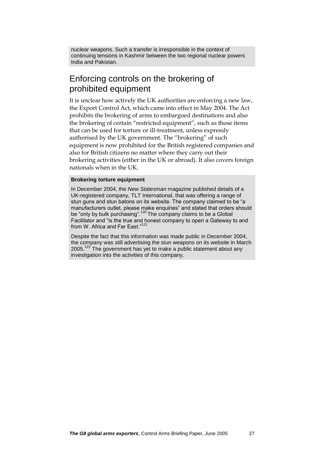nuclear weapons. Such a transfer is irresponsible in the context of continuing tensions in Kashmir between the two regional nuclear powers India and Pakistan.

#### Enforcing controls on the brokering of prohibited equipment

It is unclear how actively the UK authorities are enforcing a new law, the Export Control Act, which came into effect in May 2004. The Act prohibits the brokering of arms to embargoed destinations and also the brokering of certain "restricted equipment", such as those items that can be used for torture or ill-treatment, unless expressly authorised by the UK government. The "brokering" of such equipment is now prohibited for the British registered companies and also for British citizens no matter where they carry out their brokering activities (either in the UK or abroad). It also covers foreign nationals when in the UK.

#### **Brokering torture equipment**

In December 2004, the *New Statesman* magazine published details of a UK-registered company, TLT International, that was offering a range of stun guns and stun batons on its website. The company claimed to be "a manufacturers outlet, please make enquiries" and stated that orders should be "only by bulk purchasing".<sup>120</sup> The company claims to be a Global Facilitator and "is the true and honest company to open a Gateway to and from W. Africa and Far East."<sup>12</sup>

Despite the fact that this information was made public in December 2004, the company was still advertising the stun weapons on its website in March 2005.<sup>122</sup> The government has yet to make a public statement about any investigation into the activities of this company.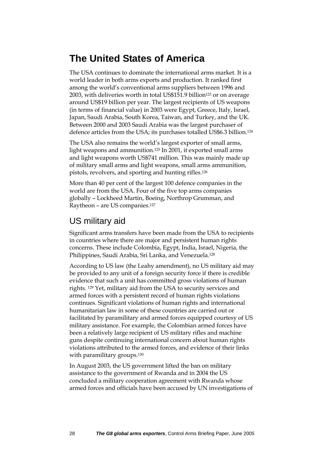### <span id="page-27-0"></span>**The United States of America**

The USA continues to dominate the international arms market. It is a world leader in both arms exports and production. It ranked first among the world's conventional arms suppliers between 1996 and 2003, with deliveries worth in total US\$151.9 billion<sup>123</sup> or on average around US\$19 billion per year. The largest recipients of US weapons (in terms of financial value) in 2003 were Egypt, Greece, Italy, Israel, Japan, Saudi Arabia, South Korea, Taiwan, and Turkey, and the UK. Between 2000 and 2003 Saudi Arabia was the largest purchaser of defence articles from the USA; its purchases totalled US\$6.3 billion.<sup>124</sup>

The USA also remains the world's largest exporter of small arms, light weapons and ammunition.<sup>125</sup> In 2001, it exported small arms and light weapons worth US\$741 million. This was mainly made up of military small arms and light weapons, small arms ammunition, pistols, revolvers, and sporting and hunting rifles.<sup>126</sup>

More than 40 per cent of the largest 100 defence companies in the world are from the USA. Four of the five top arms companies globally – Lockheed Martin, Boeing, Northrop Grumman, and Raytheon – are US companies.<sup>127</sup>

### US military aid

Significant arms transfers have been made from the USA to recipients in countries where there are major and persistent human rights concerns. These include Colombia, Egypt, India, Israel, Nigeria, the Philippines, Saudi Arabia, Sri Lanka, and Venezuela.<sup>128</sup>

According to US law (the Leahy amendment), no US military aid may be provided to any unit of a foreign security force if there is credible evidence that such a unit has committed gross violations of human rights. <sup>129</sup> Yet, military aid from the USA to security services and armed forces with a persistent record of human rights violations continues. Significant violations of human rights and international humanitarian law in some of these countries are carried out or facilitated by paramilitary and armed forces equipped courtesy of US military assistance. For example, the Colombian armed forces have been a relatively large recipient of US military rifles and machine guns despite continuing international concern about human rights violations attributed to the armed forces, and evidence of their links with paramilitary groups.<sup>130</sup>

In August 2003, the US government lifted the ban on military assistance to the government of Rwanda and in 2004 the US concluded a military cooperation agreement with Rwanda whose armed forces and officials have been accused by UN investigations of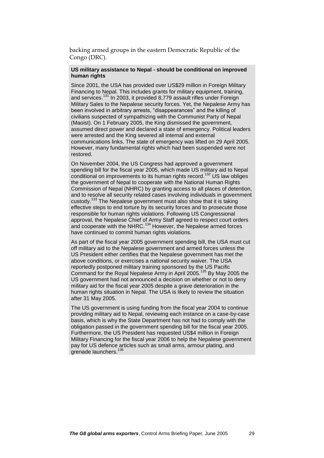backing armed groups in the eastern Democratic Republic of the Congo (DRC).

#### **US military assistance to Nepal - should be conditional on improved human rights**

Since 2001, the USA has provided over US\$29 million in Foreign Military Financing to Nepal. This includes grants for military equipment, training, and services.<sup>131</sup> In 2003, it provided 8,779 assault rifles under Foreign Military Sales to the Nepalese security forces. Yet, the Nepalese Army has been involved in arbitrary arrests, "disappearances" and the killing of civilians suspected of sympathizing with the Communist Party of Nepal (Maoist). On 1 February 2005, the King dismissed the government, assumed direct power and declared a state of emergency. Political leaders were arrested and the King severed all internal and external communications links. The state of emergency was lifted on 29 April 2005. However, many fundamental rights which had been suspended were not restored.

On November 2004, the US Congress had approved a government spending bill for the fiscal year 2005, which made US military aid to Nepal conditional on improvements to its human rights record.<sup>132</sup> US law obliges the government of Nepal to cooperate with the National Human Rights Commission of Nepal (NHRC) by granting access to all places of detention, and to resolve all security related cases involving individuals in government custody.<sup>133</sup> The Nepalese government must also show that it is taking effective steps to end torture by its security forces and to prosecute those responsible for human rights violations. Following US Congressional approval, the Nepalese Chief of Army Staff agreed to respect court orders and cooperate with the NHRC.<sup>134</sup> However, the Nepalese armed forces have continued to commit human rights violations.

As part of the fiscal year 2005 government spending bill, the USA must cut off military aid to the Nepalese government and armed forces unless the US President either certifies that the Nepalese government has met the above conditions, or exercises a national security waiver. The USA reportedly postponed military training sponsored by the US Pacific Command for the Royal Nepalese Army in April 2005.<sup>135</sup> By May 2005 the US government had not announced a decision on whether or not to deny military aid for the fiscal year 2005 despite a grave deterioration in the human rights situation in Nepal. The USA is likely to review the situation after 31 May 2005.

The US government is using funding from the fiscal year 2004 to continue providing military aid to Nepal, reviewing each instance on a case-by-case basis, which is why the State Department has not had to comply with the obligation passed in the government spending bill for the fiscal year 2005. Furthermore, the US President has requested US\$4 million in Foreign Military Financing for the fiscal year 2006 to help the Nepalese government pay for US defence articles such as small arms, armour plating, and grenade launchers.<sup>1</sup>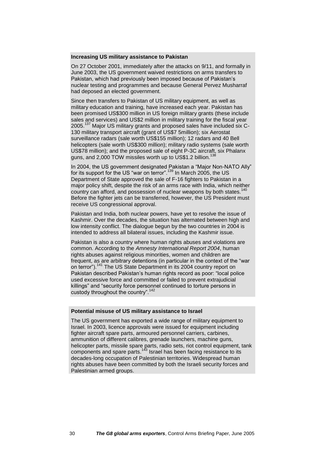#### **Increasing US military assistance to Pakistan**

On 27 October 2001, immediately after the attacks on 9/11, and formally in June 2003, the US government waived restrictions on arms transfers to Pakistan, which had previously been imposed because of Pakistan's nuclear testing and programmes and because General Pervez Musharraf had deposed an elected government.

Since then transfers to Pakistan of US military equipment, as well as military education and training, have increased each year. Pakistan has been promised US\$300 million in US foreign military grants (these include sales and services) and US\$2 million in military training for the fiscal year 2005.<sup>137</sup> Major US military grants and proposed sales have included six C-130 military transport aircraft (grant of US\$7 5million); six Aerostat surveillance radars (sale worth US\$155 million); 12 radars and 40 Bell helicopters (sale worth US\$300 million); military radio systems (sale worth US\$78 million); and the proposed sale of eight P-3C aircraft, six Phalanx guns, and 2,000 TOW missiles worth up to US\$1.2 billion.<sup>1</sup>

In 2004, the US government designated Pakistan a "Major Non-NATO Ally" for its support for the US "war on terror".<sup>139</sup> In March 2005, the US Department of State approved the sale of F-16 fighters to Pakistan in a major policy shift, despite the risk of an arms race with India, which neither country can afford, and possession of nuclear weapons by both states.<sup>140</sup> Before the fighter jets can be transferred, however, the US President must receive US congressional approval.

Pakistan and India, both nuclear powers, have yet to resolve the issue of Kashmir. Over the decades, the situation has alternated between high and low intensity conflict. The dialogue begun by the two countries in 2004 is intended to address all bilateral issues, including the Kashmir issue.

Pakistan is also a country where human rights abuses and violations are common. According to the *Amnesty International Report 2004*, human rights abuses against religious minorities, women and children are frequent, as are arbitrary detentions (in particular in the context of the "war on terror").<sup>141</sup> The US State Department in its 2004 country report on Pakistan described Pakistan's human rights record as poor: "local police used excessive force and committed or failed to prevent extrajudicial killings" and "security force personnel continued to torture persons in custody throughout the country".  $14$ 

#### **Potential misuse of US military assistance to Israel**

The US government has exported a wide range of military equipment to Israel. In 2003, licence approvals were issued for equipment including fighter aircraft spare parts, armoured personnel carriers, carbines, ammunition of different calibres, grenade launchers, machine guns, helicopter parts, missile spare parts, radio sets, riot control equipment, tank components and spare parts.<sup>143</sup> Israel has been facing resistance to its decades-long occupation of Palestinian territories. Widespread human rights abuses have been committed by both the Israeli security forces and Palestinian armed groups.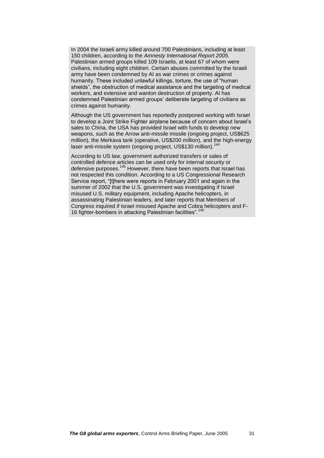In 2004 the Israeli army killed around 700 Palestinians, including at least 150 children, according to the *Amnesty International Report 2005.*  Palestinian armed groups killed 109 Israelis, at least 67 of whom were civilians, including eight children. Certain abuses committed by the Israeli army have been condemned by AI as war crimes or crimes against humanity. These included unlawful killings, torture, the use of "human shields", the obstruction of medical assistance and the targeting of medical workers, and extensive and wanton destruction of property. AI has condemned Palestinian armed groups' deliberate targeting of civilians as crimes against humanity.

Although the US government has reportedly postponed working with Israel to develop a Joint Strike Fighter airplane because of concern about Israel's sales to China, the USA has provided Israel with funds to develop new weapons, such as the Arrow anti-missile missile (ongoing project, US\$625 million), the Merkava tank (operative, US\$200 million), and the high-energy laser anti-missile system (ongoing project, US\$130 million).<sup>14</sup>

According to US law, government authorized transfers or sales of controlled defence articles can be used only for internal security or defensive purposes.<sup>145</sup> However, there have been reports that Israel has not respected this condition. According to a US Congressional Research Service report, "[t]here were reports in February 2001 and again in the summer of 2002 that the U.S. government was investigating if Israel misused U.S. military equipment, including Apache helicopters, in assassinating Palestinian leaders, and later reports that Members of Congress inquired if Israel misused Apache and Cobra helicopters and F-16 fighter-bombers in attacking Palestinian facilities".<sup>146</sup>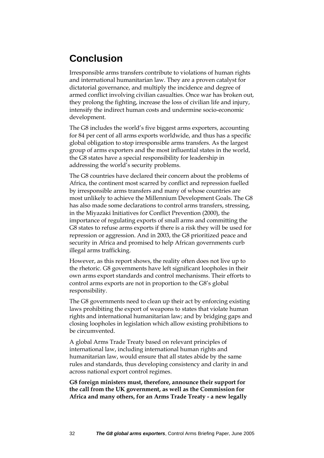### <span id="page-31-0"></span>**Conclusion**

Irresponsible arms transfers contribute to violations of human rights and international humanitarian law. They are a proven catalyst for dictatorial governance, and multiply the incidence and degree of armed conflict involving civilian casualties. Once war has broken out, they prolong the fighting, increase the loss of civilian life and injury, intensify the indirect human costs and undermine socio-economic development.

The G8 includes the world's five biggest arms exporters, accounting for 84 per cent of all arms exports worldwide, and thus has a specific global obligation to stop irresponsible arms transfers. As the largest group of arms exporters and the most influential states in the world, the G8 states have a special responsibility for leadership in addressing the world's security problems.

The G8 countries have declared their concern about the problems of Africa, the continent most scarred by conflict and repression fuelled by irresponsible arms transfers and many of whose countries are most unlikely to achieve the Millennium Development Goals. The G8 has also made some declarations to control arms transfers, stressing, in the Miyazaki Initiatives for Conflict Prevention (2000), the importance of regulating exports of small arms and committing the G8 states to refuse arms exports if there is a risk they will be used for repression or aggression. And in 2003, the G8 prioritized peace and security in Africa and promised to help African governments curb illegal arms trafficking.

However, as this report shows, the reality often does not live up to the rhetoric. G8 governments have left significant loopholes in their own arms export standards and control mechanisms. Their efforts to control arms exports are not in proportion to the G8's global responsibility.

The G8 governments need to clean up their act by enforcing existing laws prohibiting the export of weapons to states that violate human rights and international humanitarian law; and by bridging gaps and closing loopholes in legislation which allow existing prohibitions to be circumvented.

A global Arms Trade Treaty based on relevant principles of international law, including international human rights and humanitarian law, would ensure that all states abide by the same rules and standards, thus developing consistency and clarity in and across national export control regimes.

**G8 foreign ministers must, therefore, announce their support for the call from the UK government, as well as the Commission for Africa and many others, for an Arms Trade Treaty - a new legally**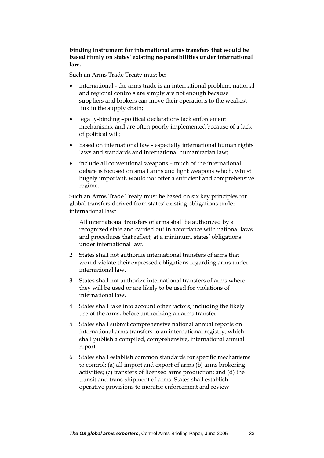#### **binding instrument for international arms transfers that would be based firmly on states' existing responsibilities under international law.**

Such an Arms Trade Treaty must be:

- international **-** the arms trade is an international problem; national and regional controls are simply are not enough because suppliers and brokers can move their operations to the weakest link in the supply chain;
- legally-binding **–**political declarations lack enforcement mechanisms, and are often poorly implemented because of a lack of political will;
- based on international law **-** especially international human rights laws and standards and international humanitarian law;
- include all conventional weapons much of the international debate is focused on small arms and light weapons which, whilst hugely important, would not offer a sufficient and comprehensive regime.

Such an Arms Trade Treaty must be based on six key principles for global transfers derived from states' existing obligations under international law:

- 1 All international transfers of arms shall be authorized by a recognized state and carried out in accordance with national laws and procedures that reflect, at a minimum, states' obligations under international law.
- 2 States shall not authorize international transfers of arms that would violate their expressed obligations regarding arms under international law.
- 3 States shall not authorize international transfers of arms where they will be used or are likely to be used for violations of international law.
- 4 States shall take into account other factors, including the likely use of the arms, before authorizing an arms transfer.
- 5 States shall submit comprehensive national annual reports on international arms transfers to an international registry, which shall publish a compiled, comprehensive, international annual report.
- 6 States shall establish common standards for specific mechanisms to control: (a) all import and export of arms (b) arms brokering activities; (c) transfers of licensed arms production; and (d) the transit and trans-shipment of arms. States shall establish operative provisions to monitor enforcement and review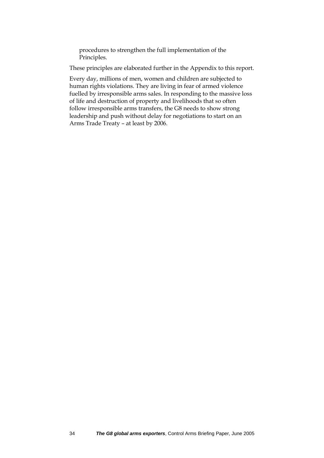procedures to strengthen the full implementation of the Principles.

These principles are elaborated further in the Appendix to this report.

Every day, millions of men, women and children are subjected to human rights violations. They are living in fear of armed violence fuelled by irresponsible arms sales. In responding to the massive loss of life and destruction of property and livelihoods that so often follow irresponsible arms transfers, the G8 needs to show strong leadership and push without delay for negotiations to start on an Arms Trade Treaty – at least by 2006.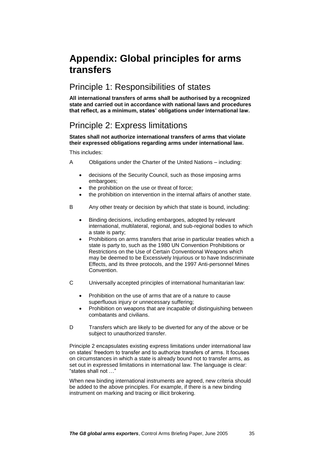### <span id="page-34-0"></span>**Appendix: Global principles for arms transfers**

#### Principle 1: Responsibilities of states

**All international transfers of arms shall be authorised by a recognized state and carried out in accordance with national laws and procedures that reflect, as a minimum, states' obligations under international law.** 

### Principle 2: Express limitations

**States shall not authorize international transfers of arms that violate their expressed obligations regarding arms under international law.** 

This includes:

- A Obligations under the Charter of the United Nations including:
	- decisions of the Security Council, such as those imposing arms embargoes;
	- the prohibition on the use or threat of force;
	- the prohibition on intervention in the internal affairs of another state.
- B Any other treaty or decision by which that state is bound, including:
	- Binding decisions, including embargoes, adopted by relevant international, multilateral, regional, and sub-regional bodies to which a state is party;
	- Prohibitions on arms transfers that arise in particular treaties which a state is party to, such as the 1980 UN Convention Prohibitions or Restrictions on the Use of Certain Conventional Weapons which may be deemed to be Excessively Injurious or to have Indiscriminate Effects, and its three protocols, and the 1997 Anti-personnel Mines Convention.
- C Universally accepted principles of international humanitarian law:
	- Prohibition on the use of arms that are of a nature to cause superfluous injury or unnecessary suffering;
	- Prohibition on weapons that are incapable of distinguishing between combatants and civilians.
- D Transfers which are likely to be diverted for any of the above or be subject to unauthorized transfer.

Principle 2 encapsulates existing express limitations under international law on states' freedom to transfer and to authorize transfers of arms. It focuses on circumstances in which a state is already bound not to transfer arms, as set out in expressed limitations in international law. The language is clear: "states shall not …"

When new binding international instruments are agreed, new criteria should be added to the above principles. For example, if there is a new binding instrument on marking and tracing or illicit brokering.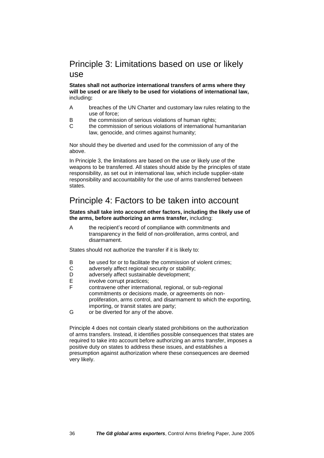#### Principle 3: Limitations based on use or likely use

**States shall not authorize international transfers of arms where they will be used or are likely to be used for violations of international law,**  including**:**

- A breaches of the UN Charter and customary law rules relating to the use of force;
- B the commission of serious violations of human rights;
- C the commission of serious violations of international humanitarian law, genocide, and crimes against humanity;

Nor should they be diverted and used for the commission of any of the above.

In Principle 3, the limitations are based on the use or likely use of the weapons to be transferred. All states should abide by the principles of state responsibility, as set out in international law, which include supplier-state responsibility and accountability for the use of arms transferred between states.

### Principle 4: Factors to be taken into account

**States shall take into account other factors, including the likely use of the arms, before authorizing an arms transfer,** including:

A the recipient's record of compliance with commitments and transparency in the field of non-proliferation, arms control, and disarmament.

States should not authorize the transfer if it is likely to:

- B be used for or to facilitate the commission of violent crimes;
- C adversely affect regional security or stability;
- D adversely affect sustainable development:
- E involve corrupt practices;
- F contravene other international, regional, or sub-regional commitments or decisions made, or agreements on nonproliferation, arms control, and disarmament to which the exporting, importing, or transit states are party;
- G or be diverted for any of the above.

Principle 4 does not contain clearly stated prohibitions on the authorization of arms transfers. Instead, it identifies possible consequences that states are required to take into account before authorizing an arms transfer, imposes a positive duty on states to address these issues, and establishes a presumption against authorization where these consequences are deemed very likely.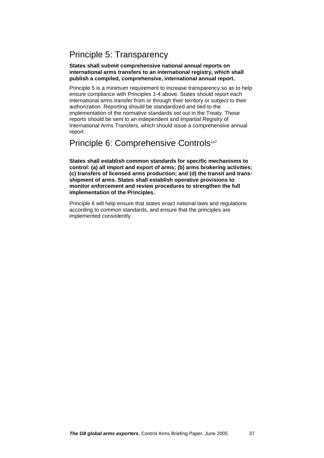### Principle 5: Transparency

#### **States shall submit comprehensive national annual reports on international arms transfers to an international registry, which shall publish a compiled, comprehensive, international annual report.**

Principle 5 is a minimum requirement to increase transparency so as to help ensure compliance with Principles 1-4 above. States should report each international arms transfer from or through their territory or subject to their authorization. Reporting should be standardized and tied to the implementation of the normative standards set out in the Treaty. These reports should be sent to an independent and impartial Registry of International Arms Transfers, which should issue a comprehensive annual report.

#### Principle 6: Comprehensive Controls<sup>147</sup>

**States shall establish common standards for specific mechanisms to control: (a) all import and export of arms; (b) arms brokering activities; (c) transfers of licensed arms production; and (d) the transit and transshipment of arms. States shall establish operative provisions to monitor enforcement and review procedures to strengthen the full implementation of the Principles.**

Principle 6 will help ensure that states enact national laws and regulations according to common standards, and ensure that the principles are implemented consistently.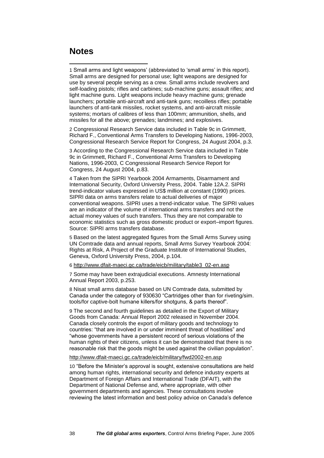#### <span id="page-37-0"></span>**Notes**

<u>.</u>

1 Small arms and light weapons' (abbreviated to 'small arms' in this report). Small arms are designed for personal use; light weapons are designed for use by several people serving as a crew. Small arms include revolvers and self-loading pistols; rifles and carbines; sub-machine guns; assault rifles; and light machine guns. Light weapons include heavy machine guns; grenade launchers; portable anti-aircraft and anti-tank guns; recoilless rifles; portable launchers of anti-tank missiles, rocket systems, and anti-aircraft missile systems; mortars of calibres of less than 100mm; ammunition, shells, and missiles for all the above; grenades; landmines; and explosives.

2 Congressional Research Service data included in Table 9c in Grimmett, Richard F., Conventional Arms Transfers to Developing Nations, 1996-2003, Congressional Research Service Report for Congress, 24 August 2004, p.3.

3 According to the Congressional Research Service data included in Table 9c in Grimmett, Richard F., Conventional Arms Transfers to Developing Nations, 1996-2003, C Congressional Research Service Report for Congress, 24 August 2004, p.83.

4 Taken from the SIPRI Yearbook 2004 Armaments, Disarmament and International Security, Oxford University Press, 2004. Table 12A.2. SIPRI trend-indicator values expressed in US\$ million at constant (1990) prices. SIPRI data on arms transfers relate to actual deliveries of major conventional weapons. SIPRI uses a trend-indicator value. The SIPRI values are an indicator of the volume of international arms transfers and not the actual money values of such transfers. Thus they are not comparable to economic statistics such as gross domestic product or export–import figures. Source: SIPRI arms transfers database.

5 Based on the latest aggregated figures from the Small Arms Survey using UN Comtrade data and annual reports, Small Arms Survey Yearbook 2004: Rights at Risk, A Project of the Graduate Institute of International Studies, Geneva, Oxford University Press, 2004, p.104.

6 http://www.dfait-maeci.gc.ca/trade/eicb/military/table3\_02-en.asp

7 Some may have been extrajudicial executions. Amnesty International Annual Report 2003, p.253.

8 Nisat small arms database based on UN Comtrade data, submitted by Canada under the category of 930630 "Cartridges other than for riveting/sim. tools/for captive-bolt humane killers/for shotguns, & parts thereof".

9 The second and fourth guidelines as detailed in the Export of Military Goods from Canada: Annual Report 2002 released in November 2004. Canada closely controls the export of military goods and technology to countries: "that are involved in or under imminent threat of hostilities" and "whose governments have a persistent record of serious violations of the human rights of their citizens, unless it can be demonstrated that there is no reasonable risk that the goods might be used against the civilian population".

http://www.dfait-maeci.gc.ca/trade/eicb/military/fwd2002-en.asp

10 "Before the Minister's approval is sought, extensive consultations are held among human rights, international security and defence industry experts at Department of Foreign Affairs and International Trade (DFAIT), with the Department of National Defense and, where appropriate, with other government departments and agencies. These consultations involve reviewing the latest information and best policy advice on Canada's defence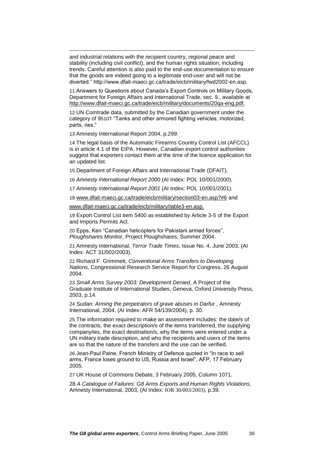and industrial relations with the recipient country, regional peace and stability (including civil conflict), and the human rights situation, including trends. Careful attention is also paid to the end-use documentation to ensure that the goods are indeed going to a legitimate end-user and will not be diverted." http://www.dfait-maeci.gc.ca/trade/eicb/military/fwd2002-en.asp.

11 Answers to Questions about Canada's Export Controls on Military Goods, Department for Foreign Affairs and International Trade, sec. 9., available at [http://www.dfait-maeci.gc.ca/trade/eicb/military/documents/20qa-eng.pdf.](http://www.dfait-maeci.gc.ca/trade/eicb/military/documents/20qa-eng.pdf)

12 UN Comtrade data, submitted by the Canadian government under the category of 9[510](http://unstats.un.org/unsd/comtrade/mr/rfCommoditiesList.aspx?px=S2&cc=9510)1 "Tanks and other armored fighting vehicles, motorized, parts, nes."

13 Amnesty International Report 2004, p.299.

<u>.</u>

14 The legal basis of the Automatic Firearms Country Control List (AFCCL) is in article 4.1 of the EIPA. However, Canadian export control authorities suggest that exporters contact them at the time of the licence application for an updated list.

15 Department of Foreign Affairs and International Trade (DFAIT).

16 *Amnesty International Report 2000* (AI Index: POL 10/001/2000).

17 *Amnesty International Report 2001* (AI Index: POL 10/001/2001).

18 [www.dfait-maeci.gc.ca/trade/eicb/military/section03-en.asp?#6](http://www.dfait-maeci.gc.ca/trade/eicb/military/section03-en.asp?#6) and

[www.dfait-maeci.gc.ca/trade/eicb/military/table3-en.asp.](http://www.dfait-maeci.gc.ca/trade/eicb/military/table3-en.asp)

19 Export Control List item 5400 as established by Article 3-5 of the Export and Imports Permits Act.

20 Epps, Ken "Canadian helicopters for Pakistani armed forces", *Ploughshares Monitor*, Project Ploughshares, Summer 2004.

21 Amnesty International, *Terror Trade Times*, Issue No. 4, June 2003, (AI Index: ACT 31/002/2003).

22 Richard F. Grimmett, *Conventional Arms Transfers to Developing Nations,* Congressional Research Service Report for Congress, 26 August 2004.

23 *Small Arms Survey 2003: Development Denied*, A Project of the Graduate Institute of International Studies, Geneva, Oxford University Press, 2003, p.14.

24 *Sudan: Arming the perpetrators of grave abuses in Darfur* , Amnesty International, 2004, (AI Index: AFR 54/139/2004), p. 30.

25 The information required to make an assessment includes: the date/s of the contracts, the exact description/s of the items transferred, the supplying company/ies, the exact destination/s, why the items were entered under a UN military trade description, and who the recipients and users of the items are so that the nature of the transfers and the use can be verified.

26 Jean-Paul Paine, French Ministry of Defence quoted in "In race to sell arms, France loses ground to US, Russia and Israel", AFP, 17 February 2005.

27 UK House of Commons Debate, 3 February 2005, Column 1071.

28 *A Catalogue of Failures: G8 Arms Exports and Human Rights Violations*, Amnesty International, 2003, (AI Index: IOR 30/003/2003), p.39.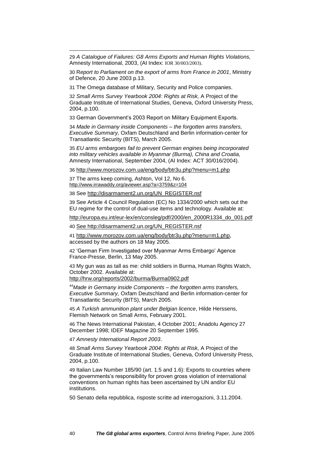29 *A Catalogue of Failures: G8 Arms Exports and Human Rights Violations,*  Amnesty International, 2003, (AI Index: IOR 30/003/2003).

30 R*eport to Parliament on the export of arms from France in 2001*, Ministry of Defence, 20 June 2003 p.13.

31 The Omega database of Military, Security and Police companies.

32 *Small Arms Survey Yearbook 2004*: *Rights at Risk,* A Project of the Graduate Institute of International Studies, Geneva, Oxford University Press, 2004, p.100.

33 German Government's 2003 Report on Military Equipment Exports.

34 *Made in Germany inside Components – the forgotten arms transfers, Executive Summary,* Oxfam Deutschland and Berlin information-center for Transatlantic Security (BITS), March 2005.

35 *EU arms embargoes fail to prevent German engines being incorporated into military vehicles available in Myanmar (Burma), China and Croatia,*  Amnesty International, September 2004, (AI Index: ACT 30/016/2004).

36 http://www.morozov.com.ua/eng/body/btr3u.php?menu=m1.php

37 The arms keep coming, Ashton, Vol 12, No 6. <http://www.irrawaddy.org/aviewer.asp?a=3759&z=104>

<u>.</u>

38 See http://disarmament2.un.org/UN\_REGISTER.nsf

39 See Article 4 Council Regulation (EC) No 1334/2000 which sets out the EU regime for the control of dual-use items and technology. Available at:

http://europa.eu.int/eur-lex/en/consleg/pdf/2000/en\_2000R1334\_do\_001.pdf

40 See http://disarmament2.un.org/UN\_REGISTER.nsf

41 [http://www.morozov.com.ua/eng/body/btr3u.php?menu=m1.php,](http://www.morozov.com.ua/eng/body/btr3u.php?menu=m1.php) accessed by the authors on 18 May 2005.

42 'German Firm Investigated over Myanmar Arms Embargo' Agence France-Presse, Berlin, 13 May 2005.

43 My gun was as tall as me: child soldiers in Burma, Human Rights Watch, October 2002. Available at:

http://hrw.org/reports/2002/burma/Burma0902.pdf

<sup>44</sup>*Made in Germany inside Components – the forgotten arms transfers, Executive Summary,* Oxfam Deutschland and Berlin information-center for Transatlantic Security (BITS), March 2005.

45 *A Turkish ammunition plant under Belgian licence*, Hilde Herssens, Flemish Network on Small Arms, February 2001.

46 The News International Pakistan, 4 October 2001; Anadolu Agency 27 December 1998; IDEF Magazine 20 September 1995.

47 *Amnesty International Report 2003*.

48 *Small Arms Survey Yearbook 2004*: *Rights at Risk,* A Project of the Graduate Institute of International Studies, Geneva, Oxford University Press, 2004, p.100.

49 Italian Law Number 185/90 (art. 1.5 and 1.6): Exports to countries where the governments's responsibility for proven gross violation of international conventions on human rights has been ascertained by UN and/or EU institutions.

50 Senato della repubblica, risposte scritte ad interrogazioni, 3.11.2004.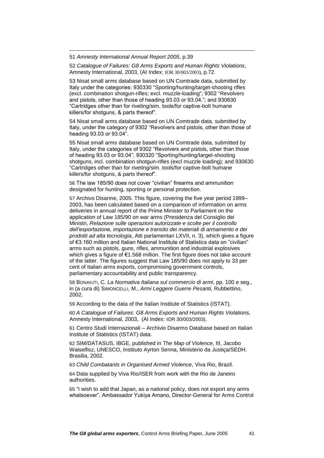51 *Amnesty International Annual Report 2005*, p.39

<u>.</u>

52 *Catalogue of Failures: G8 Arms Exports and Human Rights Violations*, Amnesty International, 2003, (AI Index: IOR 30/003/2003), p.72.

53 Nisat small arms database based on UN Comtrade data, submitted by Italy under the categories: 930330 "Sporting/hunting/target-shooting rifles (excl. combination shotgun-rifles; excl. muzzle-loading"; 9302 "Revolvers and pistols, other than those of heading 93.03 or 93.04."; and 930630 "Cartridges other than for riveting/sim. tools/for captive-bolt humane killers/for shotguns, & parts thereof".

54 Nisat small arms database based on UN Comtrade data, submitted by Italy, under the category of 9302 "Revolvers and pistols, other than those of heading 93.03 or 93.04".

55 Nisat small arms database based on UN Comtrade data, submitted by Italy, under the categories of 9302 "Revolvers and pistols, other than those of heading 93.03 or 93.04"; 930320 "Sporting/hunting/target-shooting shotguns, incl. combination shotgun-rifles (excl muzzle loading); and 930630 "Cartridges other than for riveting/sim. tools/for captive-bolt humane killers/for shotguns, & parts thereof".

56 The law 185/90 does not cover "civilian" firearms and ammunition designated for hunting, sporting or personal protection.

57 Archivo Disarme, 2005. This figure, covering the five year period 1999– 2003, has been calculated based on a comparison of information on arms deliveries in annual report of the Prime Minister to Parliament on the application of Law 185/90 on war arms (Presidenza del Consiglio dei Ministri, *Relazione sulle operazioni autorizzate e scolte per il controllo dell'esportazione, importazione e transito dei materiali di armamento e dei prodotti ad alta tecnologia*, Atti parlamentari LXVII, n. 3), which gives a figure of €3.160 million and Italian National Institute of Statistics data on "civilian" arms such as pistols, guns, rifles, ammunition and industrial explosives which gives a figure of €1.568 million. The first figure does not take account of the latter. The figures suggest that Law 185/90 does not apply to 33 per cent of Italian arms exports, compromising government controls, parliamentary accountability and public transparency.

58 BONAIUTI, C. *La Normativa Italiana sul commercio di armi*, pp. 100 e seg., in (a cura di) SIMONCELLI, M., *Armi Leggere Guerre Pesanti,* Rubbettino, 2002.

59 According to the data of the Italian Institute of Statistics (ISTAT).

60 *A Catalogue of Failures: G8 Arms Exports and Human Rights Violations,*  Amnesty International, 2003, (AI Index: IOR 30/003/2003).

61 Centro Studi Internazionali – Archivio Disarmo Database based on Italian Institute of Statistics (ISTAT) data.

62 SIM/DATASUS, IBGE, published in *The Map of Violence,* III, Jacobo Waiselfisz, UNESCO, Instituto Ayrton Senna, Ministerio da Justiça/SEDH. Brasilia, 2002.

63 *Child Combatants in Organised Armed Violence*, Viva Rio, Brazil.

64 Data supplied by Viva Rio/ISER from work with the Rio de Janeiro authorities.

65 "I wish to add that Japan, as a national policy, does not export any arms whatsoever", Ambassador Yukiya Amano, Director-General for Arms Control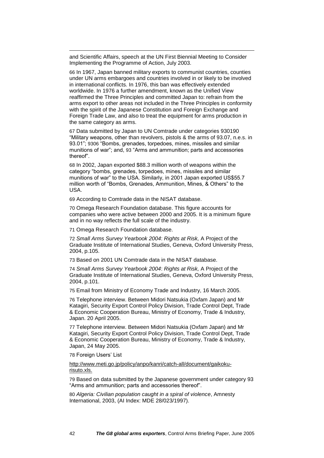and Scientific Affairs, speech at the UN First Biennial Meeting to Consider Implementing the Programme of Action, July 2003.

66 In 1967, Japan banned military exports to communist countries, counties under UN arms embargoes and countries involved in or likely to be involved in international conflicts. In 1976, this ban was effectively extended worldwide. In 1976 a further amendment, known as the Unified View reaffirmed the Three Principles and committed Japan to: refrain from the arms export to other areas not included in the Three Principles in conformity with the spirit of the Japanese Constitution and Foreign Exchange and Foreign Trade Law, and also to treat the equipment for arms production in the same category as arms.

67 Data submitted by Japan to UN Comtrade under categories 930190 "Military weapons, other than revolvers, pistols & the arms of 93.07, n.e.s. in 93.01"; [9306](http://unstats.un.org/unsd/comtrade/mr/rfCommoditiesList.aspx?px=H2&cc=9306) "Bombs, grenades, torpedoes, mines, missiles and similar munitions of war"; and, [93](http://unstats.un.org/unsd/comtrade/mr/rfCommoditiesList.aspx?px=H2&cc=93) "Arms and ammunition; parts and accessories thereof".

68 In 2002, Japan exported \$88.3 million worth of weapons within the category "bombs, grenades, torpedoes, mines, missiles and similar munitions of war" to the USA. Similarly, in 2001 Japan exported US\$55.7 million worth of "Bombs, Grenades, Ammunition, Mines, & Others" to the USA.

69 According to Comtrade data in the NISAT database.

70 Omega Research Foundation database. This figure accounts for companies who were active between 2000 and 2005. It is a minimum figure and in no way reflects the full scale of the industry.

71 Omega Research Foundation database.

72 *Small Arms Survey Yearbook 2004*: *Rights at Risk,* A Project of the Graduate Institute of International Studies, Geneva, Oxford University Press, 2004, p.105.

73 Based on 2001 UN Comtrade data in the NISAT database.

74 *Small Arms Survey Yearbook 2004*: *Rights at Risk,* A Project of the Graduate Institute of International Studies, Geneva, Oxford University Press, 2004, p.101.

75 Email from Ministry of Economy Trade and Industry, 16 March 2005.

76 Telephone interview. Between Midori Natsukia (Oxfam Japan) and Mr Katagiri, Security Export Control Policy Division, Trade Control Dept, Trade & Economic Cooperation Bureau, Ministry of Economy, Trade & Industry, Japan. 20 April 2005.

77 Telephone interview. Between Midori Natsukia (Oxfam Japan) and Mr Katagiri, Security Export Control Policy Division, Trade Control Dept, Trade & Economic Cooperation Bureau, Ministry of Economy, Trade & Industry, Japan, 24 May 2005.

78 Foreign Users' List

<u>.</u>

[http://www.meti.go.jp/policy/anpo/kanri/catch-all/document/gaikoku](http://www.meti.go.jp/policy/anpo/kanri/catch-all/document/gaikoku-risuto.xls)[risuto.xls.](http://www.meti.go.jp/policy/anpo/kanri/catch-all/document/gaikoku-risuto.xls)

79 Based on data submitted by the Japanese government under category 93 "Arms and ammunition; parts and accessories thereof".

80 *Algeria: Civilian population caught in a spiral of violence*, Amnesty International, 2003, (AI Index: MDE 28/023/1997).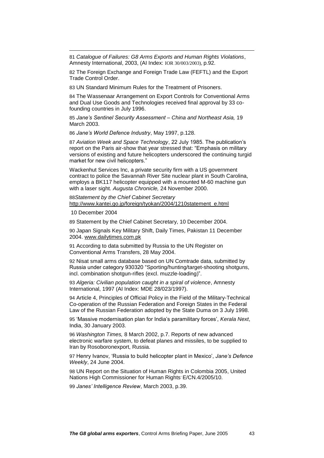81 *Catalogue of Failures: G8 Arms Exports and Human Rights Violations*, Amnesty International, 2003, (AI Index: IOR 30/003/2003), p.92.

82 The Foreign Exchange and Foreign Trade Law (FEFTL) and the Export Trade Control Order.

83 UN Standard Minimum Rules for the Treatment of Prisoners.

84 The Wassenaar Arrangement on Export Controls for Conventional Arms and Dual Use Goods and Technologies received final approval by 33 cofounding countries in July 1996.

85 *Jane's Sentinel Security Assessment – China and Northeast Asia,* 19 March 2003.

86 *Jane's World Defence Industry*, May 1997, p.128.

87 *Aviation Week and Space Technology*, 22 July 1985. The publication's report on the Paris air-show that year stressed that: "Emphasis on military versions of existing and future helicopters underscored the continuing turgid market for new civil helicopters."

Wackenhut Services Inc, a private security firm with a US government contract to police the Savannah River Site nuclear plant in South Carolina, employs a BK117 helicopter equipped with a mounted M-60 machine gun with a laser sight. *Augusta Chronicle,* 24 November 2000.

88*Statement by the Chief Cabinet Secretary*  [http://www.kantei.go.jp/foreign/tyokan/2004/1210statement\\_e.html](http://www.kantei.go.jp/foreign/tyokan/2004/1210statement_e.html)

10 December 2004

<u>.</u>

89 Statement by the Chief Cabinet Secretary, 10 December 2004.

90 Japan Signals Key Military Shift, Daily Times, Pakistan 11 December 2004. [www.dailytimes.com.pk](http://www.dailytimes.com.pk/) 

91 According to data submitted by Russia to the UN Register on Conventional Arms Transfers, 28 May 2004.

92 Nisat small arms database based on UN Comtrade data, submitted by Russia under category 930320 "Sporting/hunting/target-shooting shotguns, incl. combination shotgun-rifles (excl. muzzle-loading)".

93 *Algeria: Civilian population caught in a spiral of violence*, Amnesty International, 1997 (AI Index: MDE 28/023/1997).

94 Article 4, Principles of Official Policy in the Field of the Military-Technical Co-operation of the Russian Federation and Foreign States in the Federal Law of the Russian Federation adopted by the State Duma on 3 July 1998.

95 'Massive modernisation plan for India's paramilitary forces', *Kerala Next*, India, 30 January 2003.

96 *Washington Times,* 8 March 2002, p.7. Reports of new advanced electronic warfare system, to defeat planes and missiles, to be supplied to Iran by Rosoboronexport, Russia.

97 Henry Ivanov, 'Russia to build helicopter plant in Mexico', *Jane's Defence Weekly*, 24 June 2004.

98 UN Report on the Situation of Human Rights in Colombia 2005, United Nations High Commissioner for Human Rights' E/CN.4/2005/10.

99 *Janes' Intelligence Review*, March 2003, p.39.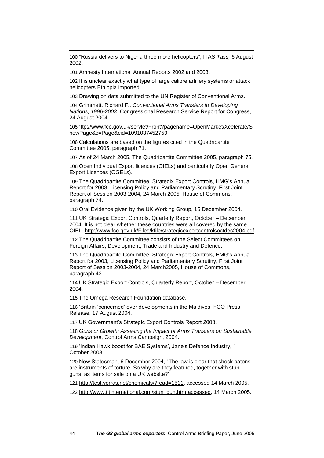100 "Russia delivers to Nigeria three more helicopters", ITAS *Tass,* 6 August 2002.

101 Amnesty International Annual Reports 2002 and 2003.

<u>.</u>

102 It is unclear exactly what type of large calibre artillery systems or attack helicopters Ethiopia imported.

103 Drawing on data submitted to the UN Register of Conventional Arms.

104 Grimmett, Richard F., *Conventional Arms Transfers to Developing Nations, 1996-2003*, Congressional Research Service Report for Congress, 24 August 2004.

105http://www.fco.gov.uk/servlet/Front?pagename=OpenMarket/Xcelerate/S howPage&c=Page&cid=1091037452759

106 Calculations are based on the figures cited in the Quadripartite Committee 2005, paragraph 71.

107 As of 24 March 2005. The Quadripartite Committee 2005, paragraph 75.

108 Open Individual Export licences (OIELs) and particularly Open General Export Licences (OGELs).

109 The Quadripartite Committee, Strategix Export Controls, HMG's Annual Report for 2003, Licensing Policy and Parliamentary Scrutiny, First Joint Report of Session 2003-2004, 24 March 2005, House of Commons, paragraph 74.

110 Oral Evidence given by the UK Working Group, 15 December 2004.

111 UK Strategic Export Controls, Quarterly Report, October – December 2004. It is not clear whether these countries were all covered by the same OIEL. http://www.fco.gov.uk/Files/kfile/strategicexportcontrolsoctdec2004.pdf

112 The Quadripartite Committee consists of the Select Committees on Foreign Affairs, Development, Trade and Industry and Defence.

113 The Quadripartite Committee, Strategix Export Controls, HMG's Annual Report for 2003, Licensing Policy and Parliamentary Scrutiny, First Joint Report of Session 2003-2004, 24 March2005, House of Commons, paragraph 43.

114 UK Strategic Export Controls, Quarterly Report, October – December 2004.

115 The Omega Research Foundation database.

116 'Britain 'concerned' over developments in the Maldives, FCO Press Release, 17 August 2004.

117 UK Government's Strategic Export Controls Report 2003.

118 *Guns or Growth: Assesing the Impact of Arms Transfers on Sustainable Development*, Control Arms Campaign, 2004.

119 'Indian Hawk boost for BAE Systems', Jane's Defence Industry, 1 October 2003.

120 New Statesman, 6 December 2004, "The law is clear that shock batons are instruments of torture. So why are they featured, together with stun guns, as items for sale on a UK website?"

121 [http://test.vorras.net/chemicals/?read=1511,](http://test.vorras.net/chemicals/?read=1511) accessed 14 March 2005.

122 [http://www.tltinternational.com/stun\\_gun.htm](http://www.tltinternational.com/stun_gun.htm) accessed, 14 March 2005.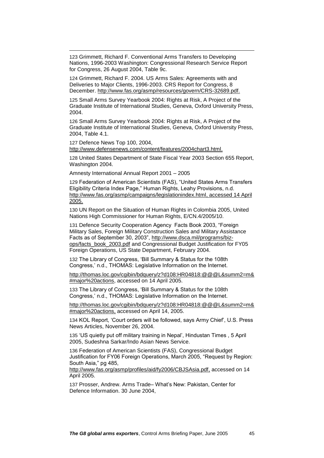123 Grimmett, Richard F. Conventional Arms Transfers to Developing Nations, 1996-2003 Washington: Congressional Research Service Report for Congress, 26 August 2004, Table 9c.

124 Grimmett, Richard F. 2004. US Arms Sales: Agreements with and Deliveries to Major Clients, 1996-2003. CRS Report for Congress, 8 December. [http://www.fas.org/asmp/resources/govern/CRS-32689.pdf.](http://www.fas.org/asmp/resources/govern/CRS-32689.pdf)

125 Small Arms Survey Yearbook 2004: Rights at Risk, A Project of the Graduate Institute of International Studies, Geneva, Oxford University Press, 2004.

126 Small Arms Survey Yearbook 2004: Rights at Risk, A Project of the Graduate Institute of International Studies, Geneva, Oxford University Press, 2004, Table 4.1.

127 Defence News Top 100, 2004,

<u>.</u>

[http://www.defensenews.com/content/features/2004chart3.html.](http://www.defensenews.com/content/features/2004chart3.html)

128 United States Department of State Fiscal Year 2003 Section 655 Report, Washington 2004.

Amnesty International Annual Report 2001 – 2005

129 Federation of American Scientists (FAS), "United States Arms Transfers Eligibility Criteria Index Page," Human Rights, Leahy Provisions, n.d. [http://www.fas.org/asmp/campaigns/legislationindex.html,](http://www.fas.org/asmp/campaigns/legislationindex.html) accessed 14 April 2005.

130 UN Report on the Situation of Human Rights in Colombia 2005, United Nations High Commissioner for Human Rights, E/CN.4/2005/10.

131 Defence Security Cooperation Agency Facts Book 2003, "Foreign Military Sales, Foreign Military Construction Sales and Military Assistance Facts as of September 30, 2003", [http://www.dsca.mil/programs/biz](http://www.dsca.mil/programs/biz-ops/facts_book_2003.pdf)[ops/facts\\_book\\_2003.pdf](http://www.dsca.mil/programs/biz-ops/facts_book_2003.pdf) and Congressional Budget Justification for FY05 Foreign Operations, US State Department, February 2004.

132 The Library of Congress, 'Bill Summary & Status for the 108th Congress,' n.d., THOMAS: Legislative Information on the Internet.

[http://thomas.loc.gov/cgibin/bdquery/z?d108:HR04818:@@@L&summ2=m&](http://thomas.loc.gov/cgibin/bdquery/z?d108:HR04818:@@@L&summ2=m&#major%20actions) [#major%20actions,](http://thomas.loc.gov/cgibin/bdquery/z?d108:HR04818:@@@L&summ2=m&#major%20actions) accessed on 14 April 2005.

133 The Library of Congress, 'Bill Summary & Status for the 108th Congress,' n.d., THOMAS: Legislative Information on the Internet.

[http://thomas.loc.gov/cgibin/bdquery/z?d108:HR04818:@@@L&summ2=m&](http://thomas.loc.gov/cgi-bin/bdquery/z?d108:HR04818:@@@L&summ2=m&#major%20actions) [#major%20actions,](http://thomas.loc.gov/cgi-bin/bdquery/z?d108:HR04818:@@@L&summ2=m&#major%20actions) accessed on April 14, 2005.

134 KOL Report, 'Court orders will be followed, says Army Chief', U.S. Press News Articles, November 26, 2004.

135 'US quietly put off military training in Nepal', Hindustan Times , 5 April 2005, Sudeshna Sarkar/Indo Asian News Service.

136 Federation of American Scientists (FAS), Congressional Budget Justification for FY06 Foreign Operations, March 2005, "Request by Region: South Asia," pg 485,

[http://www.fas.org/asmp/profiles/aid/fy2006/CBJSAsia.pdf,](http://www.fas.org/asmp/profiles/aid/fy2006/CBJSAsia.pdf) accessed on 14 April 2005.

137 Prosser, Andrew. Arms Trade– What's New: Pakistan, Center for Defence Information. 30 June 2004,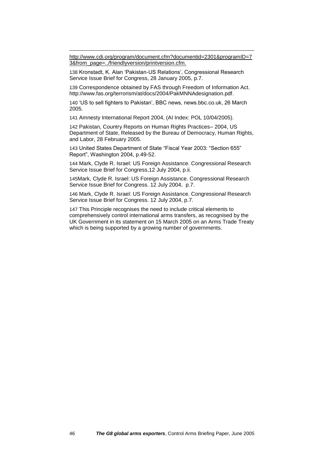[http://www.cdi.org/program/document.cfm?documentid=2301&programID=7](http://www.cdi.org/program/document.cfm?documentid=2301&programID=73&from_page=../friendlyversion/printversion.cfm) [3&from\\_page=../friendlyversion/printversion.cfm.](http://www.cdi.org/program/document.cfm?documentid=2301&programID=73&from_page=../friendlyversion/printversion.cfm)

138 Kronstadt, K. Alan 'Pakistan-US Relations', Congressional Research Service Issue Brief for Congress, 28 January 2005, p.7.

139 Correspondence obtained by FAS through Freedom of Information Act. [http://www.fas.org/terrorism/at/docs/2004/PakMNNAdesignation.pdf.](http://www.fas.org/terrorism/at/docs/2004/PakMNNAdesignation.pdf)

140 'US to sell fighters to Pakistan', BBC news, news.bbc.co.uk, 26 March 2005.

141 Amnesty International Report 2004, (AI Index: POL 10/04/2005).

142 Pakistan, Country Reports on Human Rights Practices– 2004, US Department of State, Released by the Bureau of Democracy, Human Rights, and Labor, 28 February 2005.

143 United States Department of State "Fiscal Year 2003: "Section 655" Report", Washington 2004, p.49-52.

144 Mark, Clyde R. Israel: US Foreign Assistance. Congressional Research Service Issue Brief for Congress,12 July 2004, p.ii.

145Mark, Clyde R. Israel: US Foreign Assistance. Congressional Research Service Issue Brief for Congress. 12 July 2004, p.7.

146 Mark, Clyde R. Israel: US Foreign Assistance. Congressional Research Service Issue Brief for Congress. 12 July 2004, p.7.

147 This Principle recognises the need to include critical elements to comprehensively control international arms transfers, as recognised by the UK Government in its statement on 15 March 2005 on an Arms Trade Treaty which is being supported by a growing number of governments.

<u>.</u>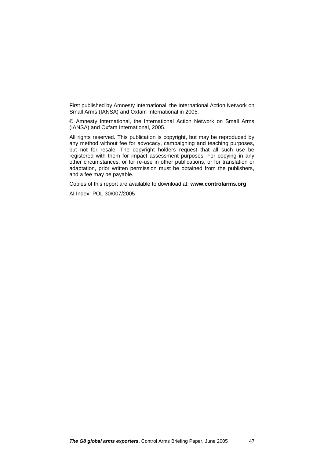First published by Amnesty International, the International Action Network on Small Arms (IANSA) and Oxfam International in 2005.

© Amnesty International, the International Action Network on Small Arms (IANSA) and Oxfam International, 2005.

All rights reserved. This publication is copyright, but may be reproduced by any method without fee for advocacy, campaigning and teaching purposes, but not for resale. The copyright holders request that all such use be registered with them for impact assessment purposes. For copying in any other circumstances, or for re-use in other publications, or for translation or adaptation, prior written permission must be obtained from the publishers, and a fee may be payable.

Copies of this report are available to download at: **www.controlarms.org** 

AI Index: POL 30/007/2005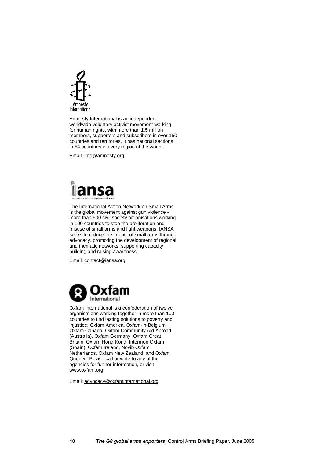

Amnesty International is an independent worldwide voluntary activist movement working for human rights, with more than 1.5 million members, supporters and subscribers in over 150 countries and territories. It has national sections in 54 countries in every region of the world.

Email: info@amnesty.org



The International Action Network on Small Arms is the global movement against gun violence more than 500 civil society organisations working in 100 countries to stop the proliferation and misuse of small arms and light weapons. IANSA seeks to reduce the impact of small arms through advocacy, promoting the development of regional and thematic networks, supporting capacity building and raising awareness.

Email: [contact@iansa.org](mailto:contact@iansa.org)



Oxfam International is a confederation of twelve organisations working together in more than 100 countries to find lasting solutions to poverty and injustice: Oxfam America, Oxfam-in-Belgium, Oxfam Canada, Oxfam Community Aid Abroad (Australia), Oxfam Germany, Oxfam Great Britain, Oxfam Hong Kong, Intermón Oxfam (Spain), Oxfam Ireland, Novib Oxfam Netherlands, Oxfam New Zealand, and Oxfam Quebec. Please call or write to any of the agencies for further information, or visit www.oxfam.org.

Email: [advocacy@oxfaminternational.org](mailto:advocacy@oxfaminternational.org)